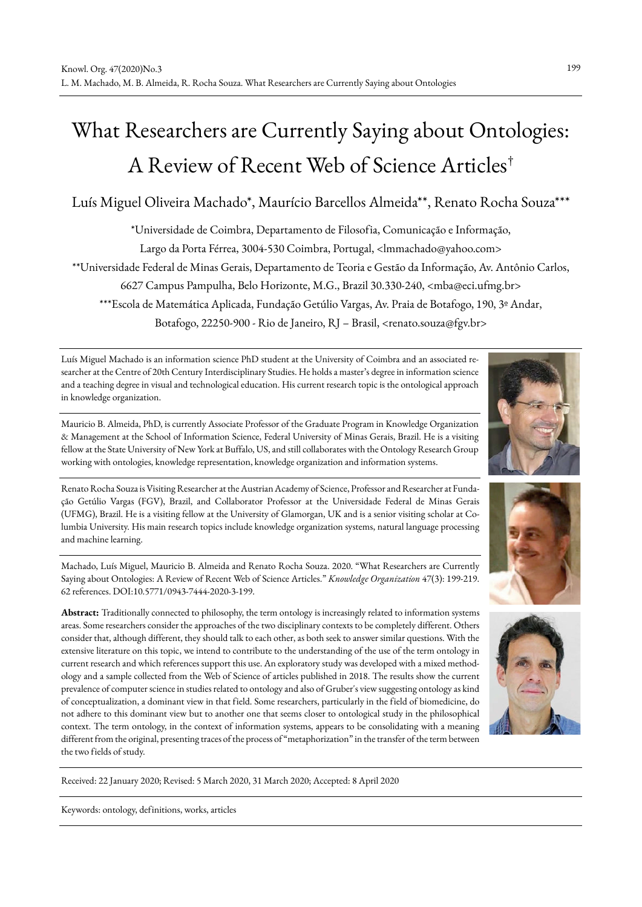# What Researchers are Currently Saying about Ontologies: A Review of Recent Web of Science Articles†

# Luís Miguel Oliveira Machado\*, Maurício Barcellos Almeida\*\*, Renato Rocha Souza\*\*\*

\*Universidade de Coimbra, Departamento de Filosofia, Comunicação e Informação, Largo da Porta Férrea, 3004-530 Coimbra, Portugal, <lmmachado@yahoo.com> \*\*Universidade Federal de Minas Gerais, Departamento de Teoria e Gestão da Informação, Av. Antônio Carlos, 6627 Campus Pampulha, Belo Horizonte, M.G., Brazil 30.330-240, <mba@eci.ufmg.br> \*\*\*Escola de Matemática Aplicada, Fundação Getúlio Vargas, Av. Praia de Botafogo, 190, 3º Andar, Botafogo, 22250-900 - Rio de Janeiro, RJ – Brasil, <renato.souza@fgv.br>

Luís Miguel Machado is an information science PhD student at the University of Coimbra and an associated researcher at the Centre of 20th Century Interdisciplinary Studies. He holds a master's degree in information science and a teaching degree in visual and technological education. His current research topic is the ontological approach in knowledge organization.

Mauricio B. Almeida, PhD, is currently Associate Professor of the Graduate Program in Knowledge Organization & Management at the School of Information Science, Federal University of Minas Gerais, Brazil. He is a visiting fellow at the State University of New York at Buffalo, US, and still collaborates with the Ontology Research Group working with ontologies, knowledge representation, knowledge organization and information systems.

Renato Rocha Souza is Visiting Researcher at the Austrian Academy of Science, Professor and Researcher at Fundação Getúlio Vargas (FGV), Brazil, and Collaborator Professor at the Universidade Federal de Minas Gerais (UFMG), Brazil. He is a visiting fellow at the University of Glamorgan, UK and is a senior visiting scholar at Columbia University. His main research topics include knowledge organization systems, natural language processing and machine learning.

Machado, Luís Miguel, Mauricio B. Almeida and Renato Rocha Souza. 2020. "What Researchers are Currently Saying about Ontologies: A Review of Recent Web of Science Articles." *Knowledge Organization* 47(3): 199-219. 62 references. DOI:10.5771/0943-7444-2020-3-199.

**Abstract:** Traditionally connected to philosophy, the term ontology is increasingly related to information systems areas. Some researchers consider the approaches of the two disciplinary contexts to be completely different. Others consider that, although different, they should talk to each other, as both seek to answer similar questions. With the extensive literature on this topic, we intend to contribute to the understanding of the use of the term ontology in current research and which references support this use. An exploratory study was developed with a mixed methodology and a sample collected from the Web of Science of articles published in 2018. The results show the current prevalence of computer science in studies related to ontology and also of Gruber's view suggesting ontology as kind of conceptualization, a dominant view in that field. Some researchers, particularly in the field of biomedicine, do not adhere to this dominant view but to another one that seems closer to ontological study in the philosophical context. The term ontology, in the context of information systems, appears to be consolidating with a meaning different from the original, presenting traces of the process of "metaphorization" in the transfer of the term between the two fields of study.



Received: 22 January 2020; Revised: 5 March 2020, 31 March 2020; Accepted: 8 April 2020

Keywords: ontology, definitions, works, articles



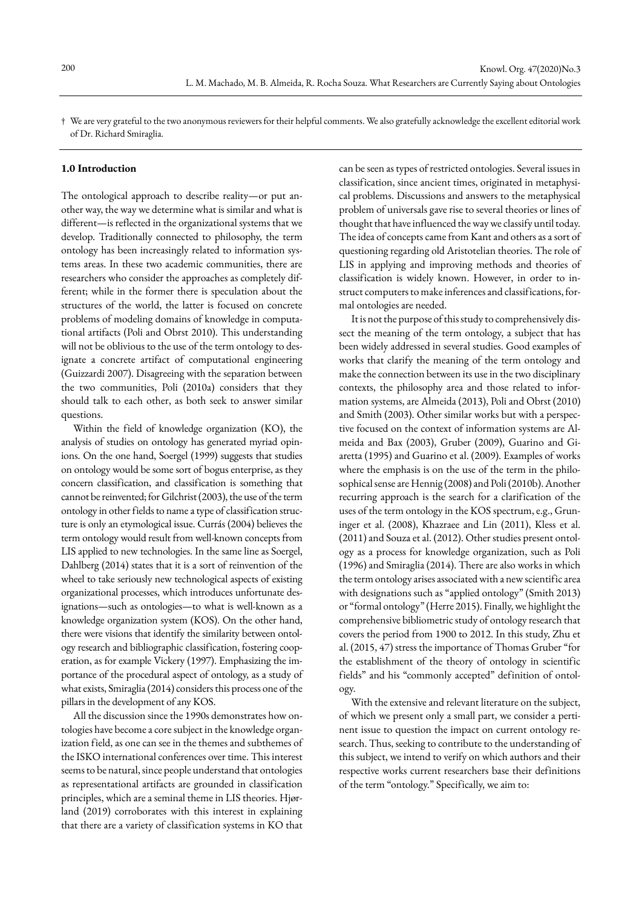† We are very grateful to the two anonymous reviewers for their helpful comments. We also gratefully acknowledge the excellent editorial work of Dr. Richard Smiraglia.

#### **1.0 Introduction**

The ontological approach to describe reality—or put another way, the way we determine what is similar and what is different—is reflected in the organizational systems that we develop. Traditionally connected to philosophy, the term ontology has been increasingly related to information systems areas. In these two academic communities, there are researchers who consider the approaches as completely different; while in the former there is speculation about the structures of the world, the latter is focused on concrete problems of modeling domains of knowledge in computational artifacts (Poli and Obrst 2010). This understanding will not be oblivious to the use of the term ontology to designate a concrete artifact of computational engineering (Guizzardi 2007). Disagreeing with the separation between the two communities, Poli (2010a) considers that they should talk to each other, as both seek to answer similar questions.

Within the field of knowledge organization (KO), the analysis of studies on ontology has generated myriad opinions. On the one hand, Soergel (1999) suggests that studies on ontology would be some sort of bogus enterprise, as they concern classification, and classification is something that cannot be reinvented; for Gilchrist (2003), the use of the term ontology in other fields to name a type of classification structure is only an etymological issue. Currás (2004) believes the term ontology would result from well-known concepts from LIS applied to new technologies. In the same line as Soergel, Dahlberg (2014) states that it is a sort of reinvention of the wheel to take seriously new technological aspects of existing organizational processes, which introduces unfortunate designations—such as ontologies—to what is well-known as a knowledge organization system (KOS). On the other hand, there were visions that identify the similarity between ontology research and bibliographic classification, fostering cooperation, as for example Vickery (1997). Emphasizing the importance of the procedural aspect of ontology, as a study of what exists, Smiraglia (2014) considers this process one of the pillars in the development of any KOS.

All the discussion since the 1990s demonstrates how ontologies have become a core subject in the knowledge organization field, as one can see in the themes and subthemes of the ISKO international conferences over time. This interest seems to be natural, since people understand that ontologies as representational artifacts are grounded in classification principles, which are a seminal theme in LIS theories. Hjørland (2019) corroborates with this interest in explaining that there are a variety of classification systems in KO that

can be seen as types of restricted ontologies. Several issues in classification, since ancient times, originated in metaphysical problems. Discussions and answers to the metaphysical problem of universals gave rise to several theories or lines of thought that have influenced the way we classify until today. The idea of concepts came from Kant and others as a sort of questioning regarding old Aristotelian theories. The role of LIS in applying and improving methods and theories of classification is widely known. However, in order to instruct computers to make inferences and classifications, formal ontologies are needed.

It is not the purpose of this study to comprehensively dissect the meaning of the term ontology, a subject that has been widely addressed in several studies. Good examples of works that clarify the meaning of the term ontology and make the connection between its use in the two disciplinary contexts, the philosophy area and those related to information systems, are Almeida (2013), Poli and Obrst (2010) and Smith (2003). Other similar works but with a perspective focused on the context of information systems are Almeida and Bax (2003), Gruber (2009), Guarino and Giaretta (1995) and Guarino et al. (2009). Examples of works where the emphasis is on the use of the term in the philosophical sense are Hennig (2008) and Poli (2010b). Another recurring approach is the search for a clarification of the uses of the term ontology in the KOS spectrum, e.g., Gruninger et al. (2008), Khazraee and Lin (2011), Kless et al. (2011) and Souza et al. (2012). Other studies present ontology as a process for knowledge organization, such as Poli (1996) and Smiraglia (2014). There are also works in which the term ontology arises associated with a new scientific area with designations such as "applied ontology" (Smith 2013) or "formal ontology" (Herre 2015). Finally, we highlight the comprehensive bibliometric study of ontology research that covers the period from 1900 to 2012. In this study, Zhu et al. (2015, 47) stress the importance of Thomas Gruber "for the establishment of the theory of ontology in scientific fields" and his "commonly accepted" definition of ontology.

With the extensive and relevant literature on the subject, of which we present only a small part, we consider a pertinent issue to question the impact on current ontology research. Thus, seeking to contribute to the understanding of this subject, we intend to verify on which authors and their respective works current researchers base their definitions of the term "ontology." Specifically, we aim to: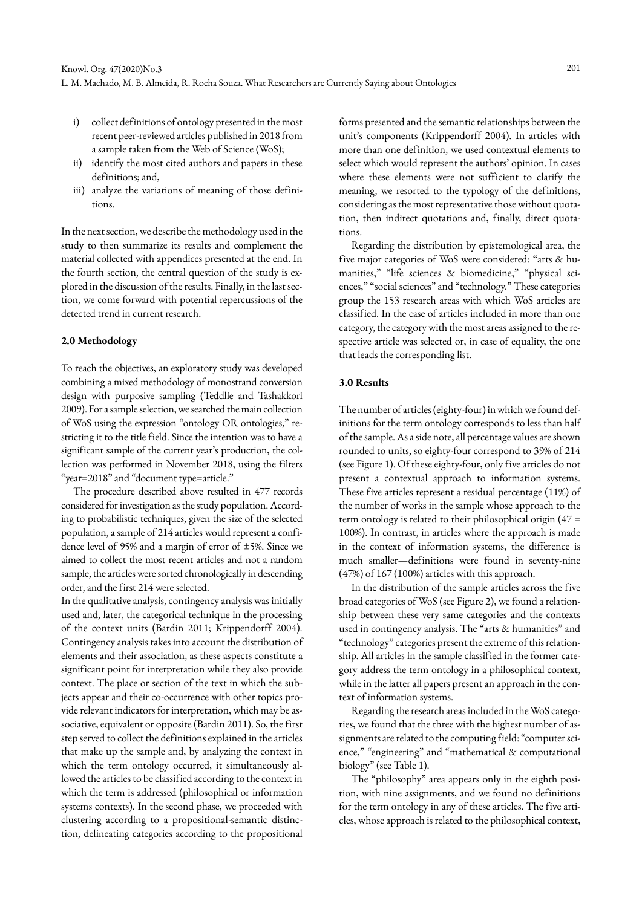- i) collect definitions of ontology presented in the most recent peer-reviewed articles published in 2018 from a sample taken from the Web of Science (WoS);
- ii) identify the most cited authors and papers in these definitions; and,
- iii) analyze the variations of meaning of those definitions.

In the next section, we describe the methodology used in the study to then summarize its results and complement the material collected with appendices presented at the end. In the fourth section, the central question of the study is explored in the discussion of the results. Finally, in the last section, we come forward with potential repercussions of the detected trend in current research.

#### **2.0 Methodology**

To reach the objectives, an exploratory study was developed combining a mixed methodology of monostrand conversion design with purposive sampling (Teddlie and Tashakkori 2009). For a sample selection, we searched the main collection of WoS using the expression "ontology OR ontologies," restricting it to the title field. Since the intention was to have a significant sample of the current year's production, the collection was performed in November 2018, using the filters "year=2018" and "document type=article."

The procedure described above resulted in 477 records considered for investigation as the study population. According to probabilistic techniques, given the size of the selected population, a sample of 214 articles would represent a confidence level of 95% and a margin of error of ±5%. Since we aimed to collect the most recent articles and not a random sample, the articles were sorted chronologically in descending order, and the first 214 were selected.

In the qualitative analysis, contingency analysis was initially used and, later, the categorical technique in the processing of the context units (Bardin 2011; Krippendorff 2004). Contingency analysis takes into account the distribution of elements and their association, as these aspects constitute a significant point for interpretation while they also provide context. The place or section of the text in which the subjects appear and their co-occurrence with other topics provide relevant indicators for interpretation, which may be associative, equivalent or opposite (Bardin 2011). So, the first step served to collect the definitions explained in the articles that make up the sample and, by analyzing the context in which the term ontology occurred, it simultaneously allowed the articles to be classified according to the context in which the term is addressed (philosophical or information systems contexts). In the second phase, we proceeded with clustering according to a propositional-semantic distinction, delineating categories according to the propositional forms presented and the semantic relationships between the unit's components (Krippendorff 2004). In articles with more than one definition, we used contextual elements to select which would represent the authors' opinion. In cases where these elements were not sufficient to clarify the meaning, we resorted to the typology of the definitions, considering as the most representative those without quotation, then indirect quotations and, finally, direct quotations.

Regarding the distribution by epistemological area, the five major categories of WoS were considered: "arts & humanities," "life sciences & biomedicine," "physical sciences," "social sciences" and "technology." These categories group the 153 research areas with which WoS articles are classified. In the case of articles included in more than one category, the category with the most areas assigned to the respective article was selected or, in case of equality, the one that leads the corresponding list.

## **3.0 Results**

The number of articles (eighty-four) in which we found definitions for the term ontology corresponds to less than half of the sample. As a side note, all percentage values are shown rounded to units, so eighty-four correspond to 39% of 214 (see Figure 1). Of these eighty-four, only five articles do not present a contextual approach to information systems. These five articles represent a residual percentage (11%) of the number of works in the sample whose approach to the term ontology is related to their philosophical origin (47 = 100%). In contrast, in articles where the approach is made in the context of information systems, the difference is much smaller—definitions were found in seventy-nine (47%) of 167 (100%) articles with this approach.

In the distribution of the sample articles across the five broad categories of WoS (see Figure 2), we found a relationship between these very same categories and the contexts used in contingency analysis. The "arts & humanities" and "technology" categories present the extreme of this relationship. All articles in the sample classified in the former category address the term ontology in a philosophical context, while in the latter all papers present an approach in the context of information systems.

Regarding the research areas included in the WoS categories, we found that the three with the highest number of assignments are related to the computing field: "computer science," "engineering" and "mathematical & computational biology" (see Table 1).

The "philosophy" area appears only in the eighth position, with nine assignments, and we found no definitions for the term ontology in any of these articles. The five articles, whose approach is related to the philosophical context,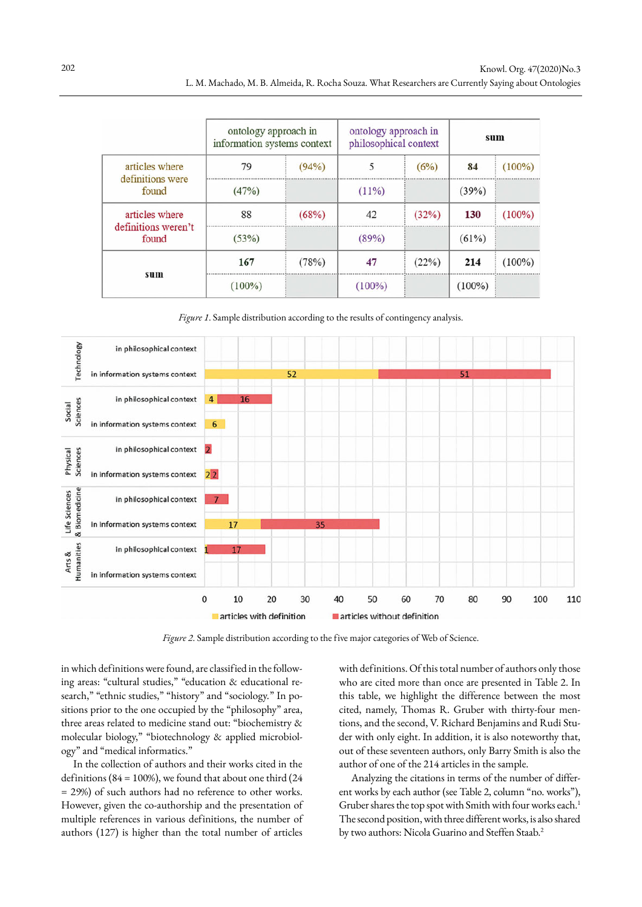|                              | ontology approach in<br>ontology approach in<br>information systems context<br>philosophical context |       |          | sum   |          |           |
|------------------------------|------------------------------------------------------------------------------------------------------|-------|----------|-------|----------|-----------|
| articles where               | 79                                                                                                   | (94%) |          | (6%)  | 84       | $(100\%)$ |
| definitions were<br>found    | (47%)                                                                                                |       | $(11\%)$ |       | (39%)    |           |
| articles where               | 88                                                                                                   | (68%) | 42       | (32%) | 130      | $(100\%)$ |
| definitions weren't<br>found | (53%)                                                                                                |       | (89%)    |       | $(61\%)$ |           |
|                              | 167                                                                                                  | (78%) | 47       | (22%) | 214      | $(100\%)$ |
| sum                          |                                                                                                      |       | $00\%$   |       | $100\%$  |           |

*Figure 1*. Sample distribution according to the results of contingency analysis.



*Figure 2*. Sample distribution according to the five major categories of Web of Science.

in which definitions were found, are classified in the following areas: "cultural studies," "education & educational research," "ethnic studies," "history" and "sociology*.*" In positions prior to the one occupied by the "philosophy" area, three areas related to medicine stand out: "biochemistry & molecular biology," "biotechnology & applied microbiology" and "medical informatics."

In the collection of authors and their works cited in the definitions ( $84 = 100\%$ ), we found that about one third ( $24$ = 29%) of such authors had no reference to other works. However, given the co-authorship and the presentation of multiple references in various definitions, the number of authors (127) is higher than the total number of articles

with definitions. Of this total number of authors only those who are cited more than once are presented in Table 2. In this table, we highlight the difference between the most cited, namely, Thomas R. Gruber with thirty-four mentions, and the second, V. Richard Benjamins and Rudi Studer with only eight. In addition, it is also noteworthy that, out of these seventeen authors, only Barry Smith is also the author of one of the 214 articles in the sample.

Analyzing the citations in terms of the number of different works by each author (see Table 2, column "no. works"), Gruber shares the top spot with Smith with four works each.<sup>1</sup> The second position, with three different works, is also shared by two authors: Nicola Guarino and Steffen Staab.<sup>2</sup>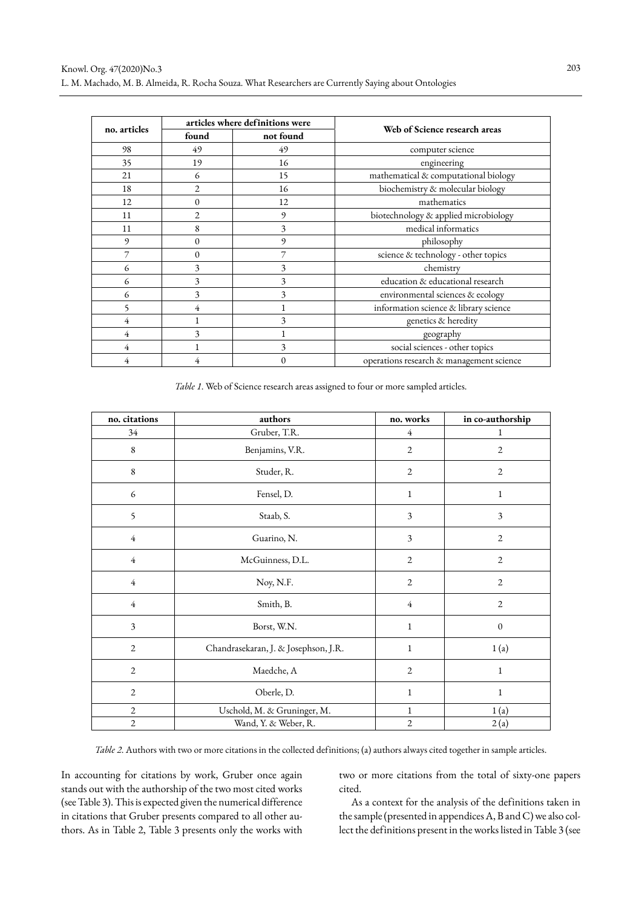|              | articles where definitions were |           |                                          |
|--------------|---------------------------------|-----------|------------------------------------------|
| no. articles | found                           | not found | Web of Science research areas            |
| 98           | 49                              | 49        | computer science                         |
| 35           | 19                              | 16        | engineering                              |
| 21           | 6                               | 15        | mathematical & computational biology     |
| 18           | 2                               | 16        | biochemistry & molecular biology         |
| 12           | $\mathbf{0}$                    | 12        | mathematics                              |
| 11           | $\overline{2}$                  | 9         | biotechnology & applied microbiology     |
| 11           | 8                               | 3         | medical informatics                      |
| 9            | 0                               | 9         | philosophy                               |
|              | 0                               |           | science & technology - other topics      |
| 6            | 3                               | 3         | chemistry                                |
| 6            | 3                               | 3         | education & educational research         |
| 6            | 3                               | 3         | environmental sciences & ecology         |
| 5            | 4                               |           | information science & library science    |
| 4            |                                 | 3         | genetics & heredity                      |
| 4            | 3                               |           | geography                                |
| 4            |                                 | 3         | social sciences - other topics           |
|              |                                 |           | operations research & management science |

*Table 1*. Web of Science research areas assigned to four or more sampled articles.

| no. citations  | authors                              | no. works      | in co-authorship |
|----------------|--------------------------------------|----------------|------------------|
| 34             | Gruber, T.R.                         | $\overline{4}$ | 1                |
| $\,$ 8 $\,$    | Benjamins, V.R.                      | $\mathfrak{2}$ | $\overline{2}$   |
| $\,$ 8 $\,$    | Studer, R.                           | $\mathbf{2}$   | $\overline{2}$   |
| 6              | Fensel, D.                           | $\mathbf{1}$   | $\mathbf{1}$     |
| 5              | Staab, S.                            | 3              | 3                |
| $\overline{4}$ | Guarino, N.                          | $\overline{3}$ | $\overline{2}$   |
| $\overline{4}$ | McGuinness, D.L.                     | $\mathbf{2}$   | $\overline{2}$   |
| $\overline{4}$ | Noy, N.F.                            | $\mathfrak{2}$ | $\overline{2}$   |
| $\overline{4}$ | Smith, B.                            | $\overline{4}$ | $\overline{2}$   |
| 3              | Borst, W.N.                          | $\mathbf{1}$   | $\mathbf{0}$     |
| $\mathfrak{2}$ | Chandrasekaran, J. & Josephson, J.R. | $\mathbf{1}$   | 1(a)             |
| $\mathbf{2}$   | Maedche, A                           | $\mathfrak{2}$ | $\mathbf{1}$     |
| $\mathfrak{2}$ | Oberle, D.                           | $\mathbf{1}$   | $\mathbf{1}$     |
| $\mathbf{2}$   | Uschold, M. & Gruninger, M.          | $\mathbf{1}$   | 1(a)             |
| $\mathbf{2}$   | Wand, Y. & Weber, R.                 | $\mathfrak{2}$ | 2(a)             |

*Table 2*. Authors with two or more citations in the collected definitions; (a) authors always cited together in sample articles.

In accounting for citations by work, Gruber once again stands out with the authorship of the two most cited works (see Table 3). This is expected given the numerical difference in citations that Gruber presents compared to all other authors. As in Table 2, Table 3 presents only the works with two or more citations from the total of sixty-one papers cited.

As a context for the analysis of the definitions taken in the sample (presented in appendices A, B and C) we also collect the definitions present in the works listed in Table 3 (see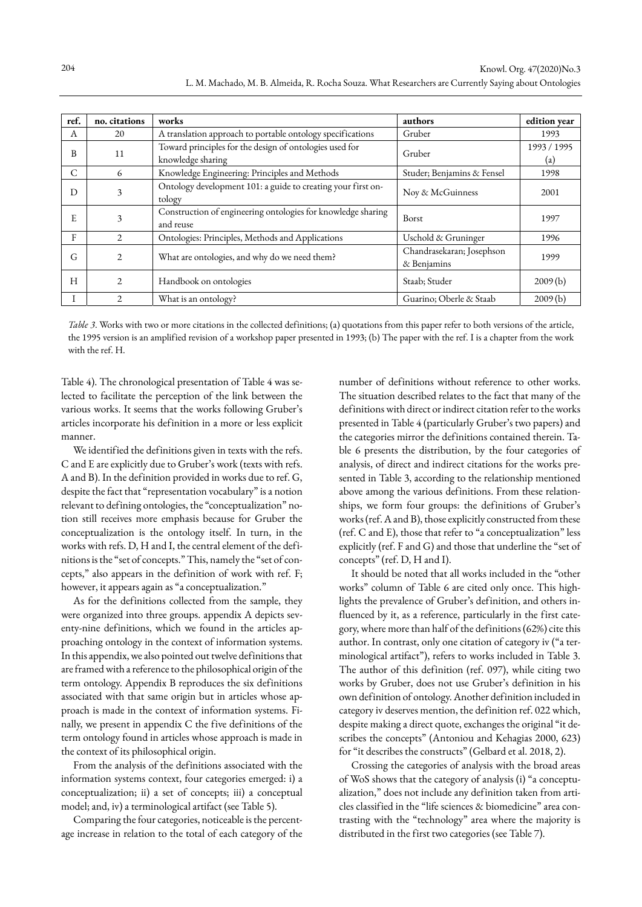| ref. | no. citations  | works                                                                        | authors                                  | edition year       |
|------|----------------|------------------------------------------------------------------------------|------------------------------------------|--------------------|
| А    | 20             | A translation approach to portable ontology specifications                   | Gruber                                   | 1993               |
| B    | 11             | Toward principles for the design of ontologies used for<br>knowledge sharing | Gruber                                   | 1993 / 1995<br>(a) |
| C    | 6              | Knowledge Engineering: Principles and Methods                                | Studer; Benjamins & Fensel               | 1998               |
| D    | 3              | Ontology development 101: a guide to creating your first on-<br>tology       | Noy & McGuinness                         | 2001               |
| E    | 3              | Construction of engineering ontologies for knowledge sharing<br>and reuse    | <b>Borst</b>                             | 1997               |
| F    | $\overline{2}$ | Ontologies: Principles, Methods and Applications                             | Uschold & Gruninger                      | 1996               |
| G    | $\overline{2}$ | What are ontologies, and why do we need them?                                | Chandrasekaran; Josephson<br>& Benjamins | 1999               |
| H    | $\overline{2}$ | Handbook on ontologies                                                       | Staab; Studer                            | 2009(b)            |
|      | $\overline{c}$ | What is an ontology?                                                         | Guarino; Oberle & Staab                  | 2009(b)            |

*Table 3*. Works with two or more citations in the collected definitions; (a) quotations from this paper refer to both versions of the article, the 1995 version is an amplified revision of a workshop paper presented in 1993; (b) The paper with the ref. I is a chapter from the work with the ref. H.

Table 4). The chronological presentation of Table 4 was selected to facilitate the perception of the link between the various works. It seems that the works following Gruber's articles incorporate his definition in a more or less explicit manner.

We identified the definitions given in texts with the refs. C and E are explicitly due to Gruber's work (texts with refs. A and B). In the definition provided in works due to ref. G, despite the fact that "representation vocabulary" is a notion relevant to defining ontologies, the "conceptualization" notion still receives more emphasis because for Gruber the conceptualization is the ontology itself. In turn, in the works with refs. D, H and I, the central element of the definitions is the "set of concepts." This, namely the "set of concepts," also appears in the definition of work with ref. F; however, it appears again as "a conceptualization."

As for the definitions collected from the sample, they were organized into three groups. appendix A depicts seventy-nine definitions, which we found in the articles approaching ontology in the context of information systems. In this appendix, we also pointed out twelve definitions that are framed with a reference to the philosophical origin of the term ontology. Appendix B reproduces the six definitions associated with that same origin but in articles whose approach is made in the context of information systems. Finally, we present in appendix C the five definitions of the term ontology found in articles whose approach is made in the context of its philosophical origin.

From the analysis of the definitions associated with the information systems context, four categories emerged: i) a conceptualization; ii) a set of concepts; iii) a conceptual model; and, iv) a terminological artifact (see Table 5).

Comparing the four categories, noticeable is the percentage increase in relation to the total of each category of the number of definitions without reference to other works. The situation described relates to the fact that many of the definitions with direct or indirect citation refer to the works presented in Table 4 (particularly Gruber's two papers) and the categories mirror the definitions contained therein. Table 6 presents the distribution, by the four categories of analysis, of direct and indirect citations for the works presented in Table 3, according to the relationship mentioned above among the various definitions. From these relationships, we form four groups: the definitions of Gruber's works (ref. A and B), those explicitly constructed from these (ref. C and E), those that refer to "a conceptualization" less explicitly (ref. F and G) and those that underline the "set of concepts" (ref. D, H and I).

It should be noted that all works included in the "other works" column of Table 6 are cited only once. This highlights the prevalence of Gruber's definition, and others influenced by it, as a reference, particularly in the first category, where more than half of the definitions (62%) cite this author. In contrast, only one citation of category iv ("a terminological artifact"), refers to works included in Table 3. The author of this definition (ref. 097), while citing two works by Gruber, does not use Gruber's definition in his own definition of ontology. Another definition included in category iv deserves mention, the definition ref. 022 which, despite making a direct quote, exchanges the original "it describes the concepts" (Antoniou and Kehagias 2000, 623) for "it describes the constructs" (Gelbard et al. 2018, 2).

Crossing the categories of analysis with the broad areas of WoS shows that the category of analysis (i) "a conceptualization," does not include any definition taken from articles classified in the "life sciences & biomedicine" area contrasting with the "technology" area where the majority is distributed in the first two categories (see Table 7).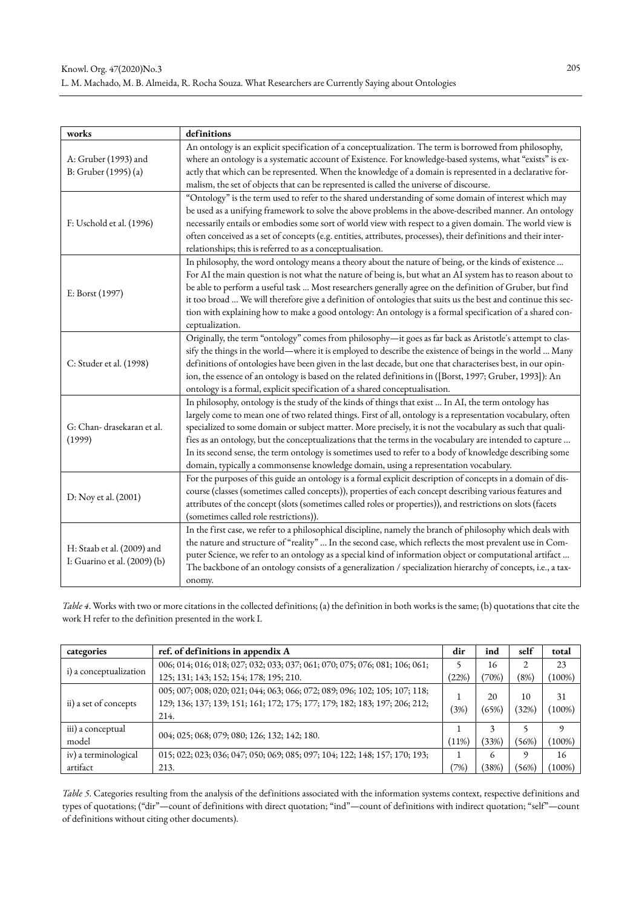| works                        | definitions                                                                                                     |
|------------------------------|-----------------------------------------------------------------------------------------------------------------|
|                              | An ontology is an explicit specification of a conceptualization. The term is borrowed from philosophy,          |
| A: Gruber (1993) and         | where an ontology is a systematic account of Existence. For knowledge-based systems, what "exists" is ex-       |
| B: Gruber (1995) (a)         | actly that which can be represented. When the knowledge of a domain is represented in a declarative for-        |
|                              | malism, the set of objects that can be represented is called the universe of discourse.                         |
|                              | "Ontology" is the term used to refer to the shared understanding of some domain of interest which may           |
|                              | be used as a unifying framework to solve the above problems in the above-described manner. An ontology          |
| F: Uschold et al. (1996)     | necessarily entails or embodies some sort of world view with respect to a given domain. The world view is       |
|                              | often conceived as a set of concepts (e.g. entities, attributes, processes), their definitions and their inter- |
|                              | relationships; this is referred to as a conceptualisation.                                                      |
|                              | In philosophy, the word ontology means a theory about the nature of being, or the kinds of existence            |
|                              | For AI the main question is not what the nature of being is, but what an AI system has to reason about to       |
| E: Borst (1997)              | be able to perform a useful task  Most researchers generally agree on the definition of Gruber, but find        |
|                              | it too broad  We will therefore give a definition of ontologies that suits us the best and continue this sec-   |
|                              | tion with explaining how to make a good ontology: An ontology is a formal specification of a shared con-        |
|                              | ceptualization.                                                                                                 |
|                              | Originally, the term "ontology" comes from philosophy-it goes as far back as Aristotle's attempt to clas-       |
|                              | sify the things in the world—where it is employed to describe the existence of beings in the world  Many        |
| C: Studer et al. (1998)      | definitions of ontologies have been given in the last decade, but one that characterises best, in our opin-     |
|                              | ion, the essence of an ontology is based on the related definitions in ([Borst, 1997; Gruber, 1993]): An        |
|                              | ontology is a formal, explicit specification of a shared conceptualisation.                                     |
|                              | In philosophy, ontology is the study of the kinds of things that exist  In AI, the term ontology has            |
|                              | largely come to mean one of two related things. First of all, ontology is a representation vocabulary, often    |
| G: Chan- drasekaran et al.   | specialized to some domain or subject matter. More precisely, it is not the vocabulary as such that quali-      |
| (1999)                       | fies as an ontology, but the conceptualizations that the terms in the vocabulary are intended to capture        |
|                              | In its second sense, the term ontology is sometimes used to refer to a body of knowledge describing some        |
|                              | domain, typically a commonsense knowledge domain, using a representation vocabulary.                            |
|                              | For the purposes of this guide an ontology is a formal explicit description of concepts in a domain of dis-     |
| D: Noy et al. (2001)         | course (classes (sometimes called concepts)), properties of each concept describing various features and        |
|                              | attributes of the concept (slots (sometimes called roles or properties)), and restrictions on slots (facets     |
|                              | (sometimes called role restrictions)).                                                                          |
|                              | In the first case, we refer to a philosophical discipline, namely the branch of philosophy which deals with     |
| H: Staab et al. (2009) and   | the nature and structure of "reality"  In the second case, which reflects the most prevalent use in Com-        |
| I: Guarino et al. (2009) (b) | puter Science, we refer to an ontology as a special kind of information object or computational artifact        |
|                              | The backbone of an ontology consists of a generalization / specialization hierarchy of concepts, i.e., a tax-   |
|                              | onomy.                                                                                                          |

*Table 4*. Works with two or more citations in the collected definitions; (a) the definition in both works is the same; (b) quotations that cite the work H refer to the definition presented in the work I.

| categories             | ref. of definitions in appendix A                                                                                                                                | dir   | ind         | self        | total          |
|------------------------|------------------------------------------------------------------------------------------------------------------------------------------------------------------|-------|-------------|-------------|----------------|
|                        | 006; 014; 016; 018; 027; 032; 033; 037; 061; 070; 075; 076; 081; 106; 061; 061;                                                                                  |       | 16          |             | 23             |
| i) a conceptualization | 125; 131; 143; 152; 154; 178; 195; 210.                                                                                                                          | (22%) | (70%)       | (8%)        | $100\%)$       |
| ii) a set of concepts  | 005; 007; 008; 020; 021; 044; 063; 066; 072; 089; 096; 102; 105; 107; 118;<br>129; 136; 137; 139; 151; 161; 172; 175; 177; 179; 182; 183; 197; 206; 212;<br>214. | (3%)  | 20<br>(65%) | 10<br>(32%) | 31<br>$100\%)$ |
| iii) a conceptual      | 004; 025; 068; 079; 080; 126; 132; 142; 180.                                                                                                                     |       |             |             | q              |
| model                  |                                                                                                                                                                  | (11%) | (33%)       | (56%)       | $(100\%)$      |
| iv) a terminological   | 015; 022; 023; 036; 047; 050; 069; 085; 097; 104; 122; 148; 157; 170; 193;                                                                                       |       | 6           | $\Omega$    | 16             |
| artifact               | 213.                                                                                                                                                             | (7%)  | (38%)       | (56%)       | $100\%)$       |

*Table 5*. Categories resulting from the analysis of the definitions associated with the information systems context, respective definitions and types of quotations; ("dir"—count of definitions with direct quotation; "ind"—count of definitions with indirect quotation; "self"—count of definitions without citing other documents).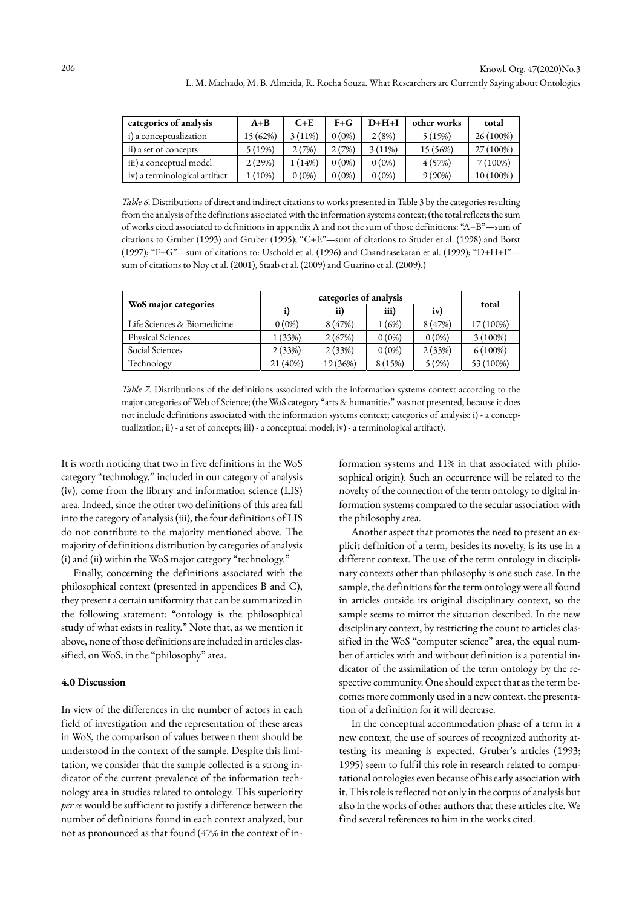| categories of analysis        | $A + B$  | $C + E$   | $F + G$  | $D+H+I$  | other works | total     |
|-------------------------------|----------|-----------|----------|----------|-------------|-----------|
| i) a conceptualization        | 15 (62%) | $3(11\%)$ | $0(0\%)$ | 2(8%)    | 5(19%)      | 26 (100%) |
| ii) a set of concepts         | 5(19%)   | 2(7%)     | 2(7%)    | 3(11%)   | 15 (56%)    | 27 (100%) |
| iii) a conceptual model       | 2 (29%)  | (14%)     | $0(0\%)$ | $0(0\%)$ | 4(57%)      | $(100\%)$ |
| iv) a terminological artifact | $(10\%)$ | $0(0\%)$  | $0(0\%)$ | $0(0\%)$ | $9(90\%)$   | 10 (100%) |

*Table 6*. Distributions of direct and indirect citations to works presented in Table 3 by the categories resulting from the analysis of the definitions associated with the information systems context; (the total reflects the sum of works cited associated to definitions in appendix A and not the sum of those definitions: "A+B"—sum of citations to Gruber (1993) and Gruber (1995); "C+E"—sum of citations to Studer et al. (1998) and Borst (1997); "F+G"—sum of citations to: Uschold et al. (1996) and Chandrasekaran et al. (1999); "D+H+I" sum of citations to Noy et al. (2001), Staab et al. (2009) and Guarino et al. (2009).)

| WoS major categories        |          | ii)      | iii)     | iv)      | total      |  |
|-----------------------------|----------|----------|----------|----------|------------|--|
| Life Sciences & Biomedicine | $0(0\%)$ | 8(47%)   | 1 (6%)   | 8(47%)   | 17 (100%)  |  |
| <b>Physical Sciences</b>    | (33%)    | 2(67%)   | $0(0\%)$ | $0(0\%)$ | $3(100\%)$ |  |
| Social Sciences             | 2(33%)   | 2(33%)   | $0(0\%)$ | 2(33%)   | $6(100\%)$ |  |
| Technology                  | 21 (40%) | 19 (36%) | 8(15%)   | 5(9%)    | 53 (100%)  |  |

*Table 7*. Distributions of the definitions associated with the information systems context according to the major categories of Web of Science; (the WoS category "arts & humanities" was not presented, because it does not include definitions associated with the information systems context; categories of analysis: i) - a conceptualization; ii) - a set of concepts; iii) - a conceptual model; iv) - a terminological artifact).

It is worth noticing that two in five definitions in the WoS category "technology," included in our category of analysis (iv), come from the library and information science (LIS) area. Indeed, since the other two definitions of this area fall into the category of analysis (iii), the four definitions of LIS do not contribute to the majority mentioned above. The majority of definitions distribution by categories of analysis (i) and (ii) within the WoS major category "technology."

Finally, concerning the definitions associated with the philosophical context (presented in appendices B and C), they present a certain uniformity that can be summarized in the following statement: "ontology is the philosophical study of what exists in reality." Note that, as we mention it above, none of those definitions are included in articles classified, on WoS, in the "philosophy" area.

# **4.0 Discussion**

In view of the differences in the number of actors in each field of investigation and the representation of these areas in WoS, the comparison of values between them should be understood in the context of the sample. Despite this limitation, we consider that the sample collected is a strong indicator of the current prevalence of the information technology area in studies related to ontology. This superiority *per se* would be sufficient to justify a difference between the number of definitions found in each context analyzed, but not as pronounced as that found (47% in the context of information systems and 11% in that associated with philosophical origin). Such an occurrence will be related to the novelty of the connection of the term ontology to digital information systems compared to the secular association with the philosophy area.

Another aspect that promotes the need to present an explicit definition of a term, besides its novelty, is its use in a different context. The use of the term ontology in disciplinary contexts other than philosophy is one such case. In the sample, the definitions for the term ontology were all found in articles outside its original disciplinary context, so the sample seems to mirror the situation described. In the new disciplinary context, by restricting the count to articles classified in the WoS "computer science" area, the equal number of articles with and without definition is a potential indicator of the assimilation of the term ontology by the respective community. One should expect that as the term becomes more commonly used in a new context, the presentation of a definition for it will decrease.

In the conceptual accommodation phase of a term in a new context, the use of sources of recognized authority attesting its meaning is expected. Gruber's articles (1993; 1995) seem to fulfil this role in research related to computational ontologies even because of his early association with it. This role is reflected not only in the corpus of analysis but also in the works of other authors that these articles cite. We find several references to him in the works cited.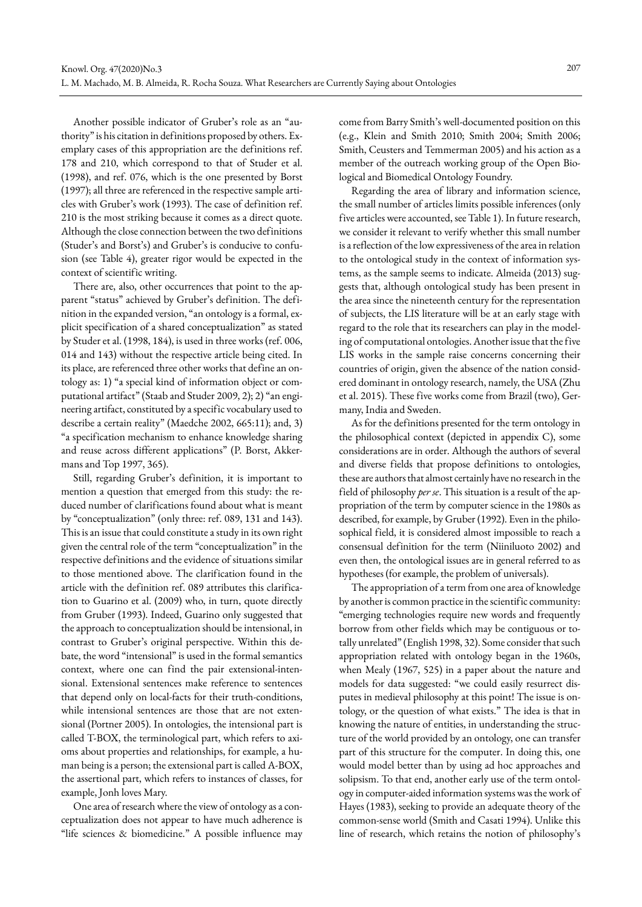Another possible indicator of Gruber's role as an "authority" is his citation in definitions proposed by others. Exemplary cases of this appropriation are the definitions ref. 178 and 210, which correspond to that of Studer et al. (1998), and ref. 076, which is the one presented by Borst (1997); all three are referenced in the respective sample articles with Gruber's work (1993). The case of definition ref. 210 is the most striking because it comes as a direct quote. Although the close connection between the two definitions (Studer's and Borst's) and Gruber's is conducive to confusion (see Table 4), greater rigor would be expected in the context of scientific writing.

There are, also, other occurrences that point to the apparent "status" achieved by Gruber's definition. The definition in the expanded version, "an ontology is a formal, explicit specification of a shared conceptualization" as stated by Studer et al. (1998, 184), is used in three works (ref. 006, 014 and 143) without the respective article being cited. In its place, are referenced three other works that define an ontology as: 1) "a special kind of information object or computational artifact" (Staab and Studer 2009, 2); 2) "an engineering artifact, constituted by a specific vocabulary used to describe a certain reality" (Maedche 2002, 665:11); and, 3) "a specification mechanism to enhance knowledge sharing and reuse across different applications" (P. Borst, Akkermans and Top 1997, 365).

Still, regarding Gruber's definition, it is important to mention a question that emerged from this study: the reduced number of clarifications found about what is meant by "conceptualization" (only three: ref. 089, 131 and 143). This is an issue that could constitute a study in its own right given the central role of the term "conceptualization" in the respective definitions and the evidence of situations similar to those mentioned above. The clarification found in the article with the definition ref. 089 attributes this clarification to Guarino et al. (2009) who, in turn, quote directly from Gruber (1993). Indeed, Guarino only suggested that the approach to conceptualization should be intensional, in contrast to Gruber's original perspective. Within this debate, the word "intensional" is used in the formal semantics context, where one can find the pair extensional-intensional. Extensional sentences make reference to sentences that depend only on local-facts for their truth-conditions, while intensional sentences are those that are not extensional (Portner 2005). In ontologies, the intensional part is called T-BOX, the terminological part, which refers to axioms about properties and relationships, for example, a human being is a person; the extensional part is called A-BOX, the assertional part, which refers to instances of classes, for example, Jonh loves Mary.

One area of research where the view of ontology as a conceptualization does not appear to have much adherence is "life sciences & biomedicine." A possible influence may

come from Barry Smith's well-documented position on this (e.g., Klein and Smith 2010; Smith 2004; Smith 2006; Smith, Ceusters and Temmerman 2005) and his action as a member of the outreach working group of the Open Biological and Biomedical Ontology Foundry.

Regarding the area of library and information science, the small number of articles limits possible inferences (only five articles were accounted, see Table 1). In future research, we consider it relevant to verify whether this small number is a reflection of the low expressiveness of the area in relation to the ontological study in the context of information systems, as the sample seems to indicate. Almeida (2013) suggests that, although ontological study has been present in the area since the nineteenth century for the representation of subjects, the LIS literature will be at an early stage with regard to the role that its researchers can play in the modeling of computational ontologies. Another issue that the five LIS works in the sample raise concerns concerning their countries of origin, given the absence of the nation considered dominant in ontology research, namely, the USA (Zhu et al. 2015). These five works come from Brazil (two), Germany, India and Sweden.

As for the definitions presented for the term ontology in the philosophical context (depicted in appendix C), some considerations are in order. Although the authors of several and diverse fields that propose definitions to ontologies, these are authors that almost certainly have no research in the field of philosophy *per se*. This situation is a result of the appropriation of the term by computer science in the 1980s as described, for example, by Gruber (1992). Even in the philosophical field, it is considered almost impossible to reach a consensual definition for the term (Niiniluoto 2002) and even then, the ontological issues are in general referred to as hypotheses (for example, the problem of universals).

The appropriation of a term from one area of knowledge by another is common practice in the scientific community: "emerging technologies require new words and frequently borrow from other fields which may be contiguous or totally unrelated" (English 1998, 32). Some consider that such appropriation related with ontology began in the 1960s, when Mealy (1967, 525) in a paper about the nature and models for data suggested: "we could easily resurrect disputes in medieval philosophy at this point! The issue is ontology, or the question of what exists." The idea is that in knowing the nature of entities, in understanding the structure of the world provided by an ontology, one can transfer part of this structure for the computer. In doing this, one would model better than by using ad hoc approaches and solipsism. To that end, another early use of the term ontology in computer-aided information systems was the work of Hayes (1983), seeking to provide an adequate theory of the common-sense world (Smith and Casati 1994). Unlike this line of research, which retains the notion of philosophy's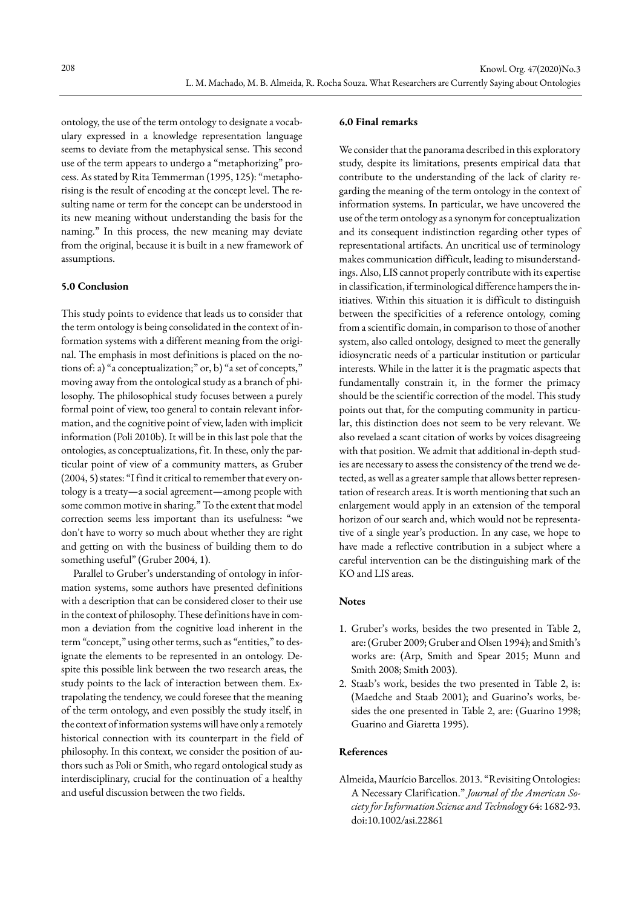ontology, the use of the term ontology to designate a vocabulary expressed in a knowledge representation language seems to deviate from the metaphysical sense. This second use of the term appears to undergo a "metaphorizing" process. As stated by Rita Temmerman (1995, 125): "metaphorising is the result of encoding at the concept level. The resulting name or term for the concept can be understood in its new meaning without understanding the basis for the naming." In this process, the new meaning may deviate from the original, because it is built in a new framework of assumptions.

#### **5.0 Conclusion**

This study points to evidence that leads us to consider that the term ontology is being consolidated in the context of information systems with a different meaning from the original. The emphasis in most definitions is placed on the notions of: a) "a conceptualization;" or, b) "a set of concepts," moving away from the ontological study as a branch of philosophy. The philosophical study focuses between a purely formal point of view, too general to contain relevant information, and the cognitive point of view, laden with implicit information (Poli 2010b). It will be in this last pole that the ontologies, as conceptualizations, fit. In these, only the particular point of view of a community matters, as Gruber (2004, 5) states: "I find it critical to remember that every ontology is a treaty—a social agreement—among people with some common motive in sharing." To the extent that model correction seems less important than its usefulness: "we don't have to worry so much about whether they are right and getting on with the business of building them to do something useful" (Gruber 2004, 1).

Parallel to Gruber's understanding of ontology in information systems, some authors have presented definitions with a description that can be considered closer to their use in the context of philosophy. These definitions have in common a deviation from the cognitive load inherent in the term "concept," using other terms, such as "entities," to designate the elements to be represented in an ontology. Despite this possible link between the two research areas, the study points to the lack of interaction between them. Extrapolating the tendency, we could foresee that the meaning of the term ontology, and even possibly the study itself, in the context of information systems will have only a remotely historical connection with its counterpart in the field of philosophy. In this context, we consider the position of authors such as Poli or Smith, who regard ontological study as interdisciplinary, crucial for the continuation of a healthy and useful discussion between the two fields.

# **6.0 Final remarks**

We consider that the panorama described in this exploratory study, despite its limitations, presents empirical data that contribute to the understanding of the lack of clarity regarding the meaning of the term ontology in the context of information systems. In particular, we have uncovered the use of the term ontology as a synonym for conceptualization and its consequent indistinction regarding other types of representational artifacts. An uncritical use of terminology makes communication difficult, leading to misunderstandings. Also, LIS cannot properly contribute with its expertise in classification, if terminological difference hampers the initiatives. Within this situation it is difficult to distinguish between the specificities of a reference ontology, coming from a scientific domain, in comparison to those of another system, also called ontology, designed to meet the generally idiosyncratic needs of a particular institution or particular interests. While in the latter it is the pragmatic aspects that fundamentally constrain it, in the former the primacy should be the scientific correction of the model. This study points out that, for the computing community in particular, this distinction does not seem to be very relevant. We also revelaed a scant citation of works by voices disagreeing with that position. We admit that additional in-depth studies are necessary to assess the consistency of the trend we detected, as well as a greater sample that allows better representation of research areas. It is worth mentioning that such an enlargement would apply in an extension of the temporal horizon of our search and, which would not be representative of a single year's production. In any case, we hope to have made a reflective contribution in a subject where a careful intervention can be the distinguishing mark of the KO and LIS areas.

# **Notes**

- 1. Gruber's works, besides the two presented in Table 2, are: (Gruber 2009; Gruber and Olsen 1994); and Smith's works are: (Arp, Smith and Spear 2015; Munn and Smith 2008; Smith 2003).
- 2. Staab's work, besides the two presented in Table 2, is: (Maedche and Staab 2001); and Guarino's works, besides the one presented in Table 2, are: (Guarino 1998; Guarino and Giaretta 1995).

# **References**

Almeida, Maurício Barcellos. 2013. "Revisiting Ontologies: A Necessary Clarification." *Journal of the American Society for Information Science and Technology* 64: 1682-93. doi:10.1002/asi.22861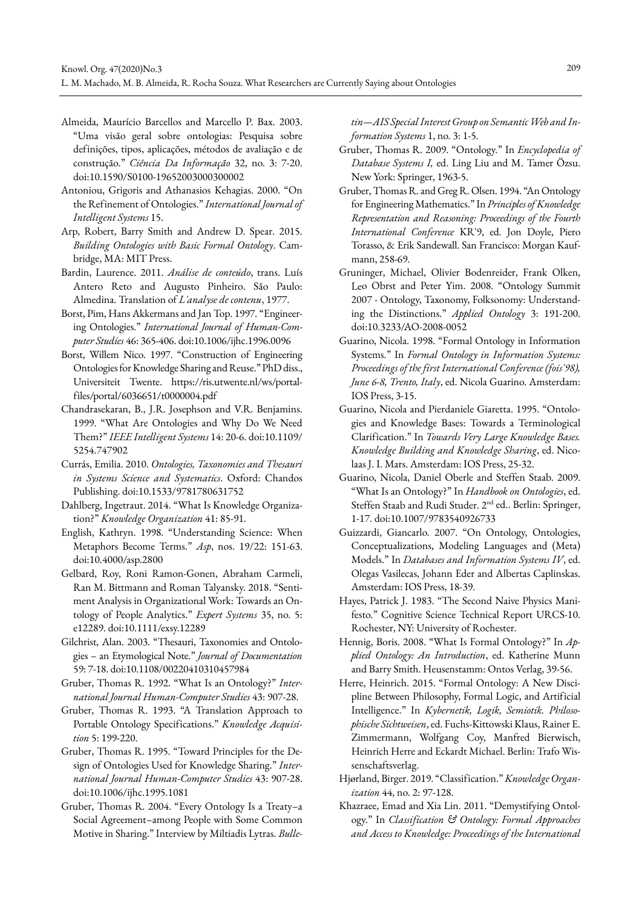- Almeida, Maurício Barcellos and Marcello P. Bax. 2003. "Uma visão geral sobre ontologias: Pesquisa sobre definições, tipos, aplicações, métodos de avaliação e de construção." *Ciência Da Informação* 32, no. 3: 7-20. doi:10.1590/S0100-19652003000300002
- Antoniou, Grigoris and Athanasios Kehagias. 2000. "On the Refinement of Ontologies." *International Journal of Intelligent Systems* 15.
- Arp, Robert, Barry Smith and Andrew D. Spear. 2015. *Building Ontologies with Basic Formal Ontology*. Cambridge, MA: MIT Press.
- Bardin, Laurence. 2011. *Análise de conteúdo*, trans. Luís Antero Reto and Augusto Pinheiro. São Paulo: Almedina. Translation of *L'analyse de contenu*, 1977.
- Borst, Pim, Hans Akkermans and Jan Top. 1997. "Engineering Ontologies." *International Journal of Human-Computer Studies* 46: 365-406. doi:10.1006/ijhc.1996.0096
- Borst, Willem Nico. 1997. "Construction of Engineering Ontologies for Knowledge Sharing and Reuse." PhD diss., Universiteit Twente. https://ris.utwente.nl/ws/portalfiles/portal/6036651/t0000004.pdf
- Chandrasekaran, B., J.R. Josephson and V.R. Benjamins. 1999. "What Are Ontologies and Why Do We Need Them?" *IEEE Intelligent Systems* 14: 20-6. doi:10.1109/ 5254.747902
- Currás, Emilia. 2010. *Ontologies, Taxonomies and Thesauri in Systems Science and Systematics*. Oxford: Chandos Publishing. doi:10.1533/9781780631752
- Dahlberg, Ingetraut. 2014. "What Is Knowledge Organization?" *Knowledge Organization* 41: 85-91.
- English, Kathryn. 1998. "Understanding Science: When Metaphors Become Terms." *Asp*, nos. 19/22: 151-63. doi:10.4000/asp.2800
- Gelbard, Roy, Roni Ramon-Gonen, Abraham Carmeli, Ran M. Bittmann and Roman Talyansky. 2018. "Sentiment Analysis in Organizational Work: Towards an Ontology of People Analytics." *Expert Systems* 35, no. 5: e12289. doi:10.1111/exsy.12289
- Gilchrist, Alan. 2003. "Thesauri, Taxonomies and Ontologies – an Etymological Note." *Journal of Documentation* 59: 7-18. doi:10.1108/00220410310457984
- Gruber, Thomas R. 1992. "What Is an Ontology?" *International Journal Human-Computer Studies* 43: 907-28.
- Gruber, Thomas R. 1993. "A Translation Approach to Portable Ontology Specifications." *Knowledge Acquisition* 5: 199-220.
- Gruber, Thomas R. 1995. "Toward Principles for the Design of Ontologies Used for Knowledge Sharing." *International Journal Human-Computer Studies* 43: 907-28. doi:10.1006/ijhc.1995.1081
- Gruber, Thomas R. 2004. "Every Ontology Is a Treaty–a Social Agreement–among People with Some Common Motive in Sharing." Interview by Miltiadis Lytras. *Bulle-*

*tin—AIS Special Interest Group on Semantic Web and Information Systems* 1, no. 3: 1-5.

- Gruber, Thomas R. 2009. "Ontology." In *Encyclopedia of Database Systems I,* ed. Ling Liu and M. Tamer Özsu. New York: Springer, 1963-5.
- Gruber, Thomas R. and Greg R. Olsen. 1994. "An Ontology for Engineering Mathematics." In *Principles of Knowledge Representation and Reasoning: Proceedings of the Fourth International Conference* KR'9, ed. Jon Doyle, Piero Torasso, & Erik Sandewall. San Francisco: Morgan Kaufmann, 258-69.
- Gruninger, Michael, Olivier Bodenreider, Frank Olken, Leo Obrst and Peter Yim. 2008. "Ontology Summit 2007 - Ontology, Taxonomy, Folksonomy: Understanding the Distinctions." *Applied Ontology* 3: 191-200. doi:10.3233/AO-2008-0052
- Guarino, Nicola. 1998. "Formal Ontology in Information Systems." In *Formal Ontology in Information Systems: Proceedings of the first International Conference (fois'98), June 6-8, Trento, Italy*, ed. Nicola Guarino. Amsterdam: IOS Press, 3-15.
- Guarino, Nicola and Pierdaniele Giaretta. 1995. "Ontologies and Knowledge Bases: Towards a Terminological Clarification." In *Towards Very Large Knowledge Bases. Knowledge Building and Knowledge Sharing*, ed. Nicolaas J. I. Mars. Amsterdam: IOS Press, 25-32.
- Guarino, Nicola, Daniel Oberle and Steffen Staab. 2009. "What Is an Ontology?" In *Handbook on Ontologies*, ed. Steffen Staab and Rudi Studer. 2nd ed.. Berlin: Springer, 1-17. doi:10.1007/9783540926733
- Guizzardi, Giancarlo. 2007. "On Ontology, Ontologies, Conceptualizations, Modeling Languages and (Meta) Models." In *Databases and Information Systems IV*, ed. Olegas Vasilecas, Johann Eder and Albertas Caplinskas. Amsterdam: IOS Press, 18-39.
- Hayes, Patrick J. 1983. "The Second Naive Physics Manifesto." Cognitive Science Technical Report URCS-10. Rochester, NY: University of Rochester.
- Hennig, Boris. 2008. "What Is Formal Ontology?" In *Applied Ontology: An Introduction*, ed. Katherine Munn and Barry Smith. Heusenstamm: Ontos Verlag, 39-56.
- Herre, Heinrich. 2015. "Formal Ontology: A New Discipline Between Philosophy, Formal Logic, and Artificial Intelligence." In *Kybernetik, Logik, Semiotik. Philosophische Sichtweisen*, ed. Fuchs-Kittowski Klaus, Rainer E. Zimmermann, Wolfgang Coy, Manfred Bierwisch, Heinrich Herre and Eckardt Michael. Berlin: Trafo Wissenschaftsverlag.
- Hjørland, Birger. 2019. "Classification." *Knowledge Organization* 44, no. 2: 97-128.
- Khazraee, Emad and Xia Lin. 2011. "Demystifying Ontology." In *Classification & Ontology: Formal Approaches and Access to Knowledge: Proceedings of the International*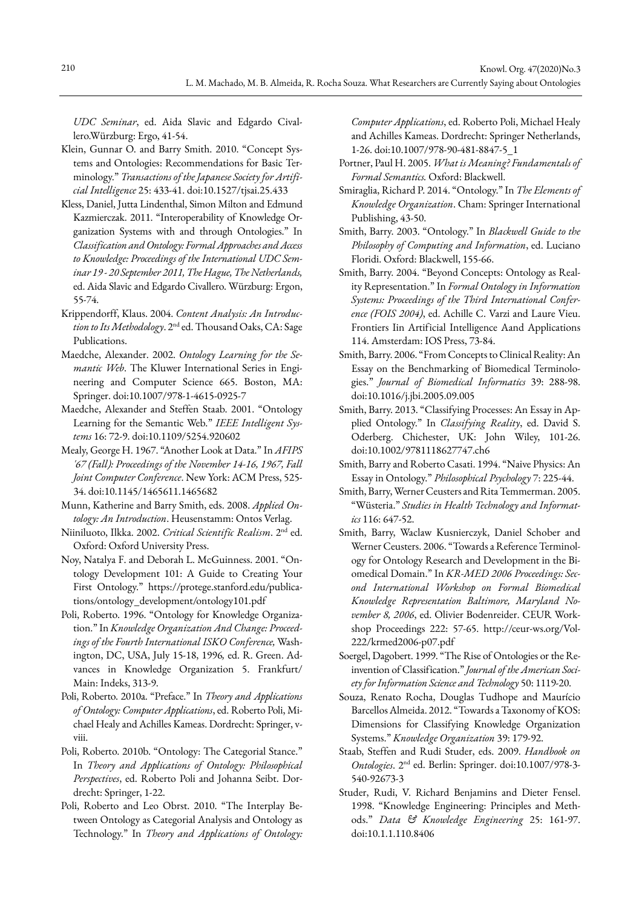*UDC Seminar*, ed. Aida Slavic and Edgardo Civallero.Würzburg: Ergo, 41-54.

- Klein, Gunnar O. and Barry Smith. 2010. "Concept Systems and Ontologies: Recommendations for Basic Terminology." *Transactions of the Japanese Society for Artificial Intelligence* 25: 433-41. doi:10.1527/tjsai.25.433
- Kless, Daniel, Jutta Lindenthal, Simon Milton and Edmund Kazmierczak. 2011. "Interoperability of Knowledge Organization Systems with and through Ontologies." In *Classification and Ontology: Formal Approaches and Access to Knowledge: Proceedings of the International UDC Seminar 19 - 20 September 2011, The Hague, The Netherlands,* ed. Aida Slavic and Edgardo Civallero. Würzburg: Ergon, 55-74.
- Krippendorff, Klaus. 2004. *Content Analysis: An Introduction to Its Methodology*. 2nd ed. Thousand Oaks, CA: Sage Publications.
- Maedche, Alexander. 2002. *Ontology Learning for the Semantic Web*. The Kluwer International Series in Engineering and Computer Science 665. Boston, MA: Springer. doi:10.1007/978-1-4615-0925-7
- Maedche, Alexander and Steffen Staab. 2001. "Ontology Learning for the Semantic Web." *IEEE Intelligent Systems* 16: 72-9. doi:10.1109/5254.920602
- Mealy, George H. 1967. "Another Look at Data." In *AFIPS '67 (Fall): Proceedings of the November 14-16, 1967, Fall Joint Computer Conference*. New York: ACM Press, 525- 34. doi:10.1145/1465611.1465682
- Munn, Katherine and Barry Smith, eds. 2008. *Applied Ontology: An Introduction*. Heusenstamm: Ontos Verlag.
- Niiniluoto, Ilkka. 2002. *Critical Scientific Realism*. 2nd ed. Oxford: Oxford University Press.
- Noy, Natalya F. and Deborah L. McGuinness. 2001. "Ontology Development 101: A Guide to Creating Your First Ontology." https://protege.stanford.edu/publications/ontology\_development/ontology101.pdf
- Poli, Roberto. 1996. "Ontology for Knowledge Organization." In *Knowledge Organization And Change: Proceedings of the Fourth International ISKO Conference,* Washington, DC, USA, July 15-18, 1996*,* ed. R. Green. Advances in Knowledge Organization 5. Frankfurt/ Main: Indeks, 313-9.
- Poli, Roberto. 2010a. "Preface." In *Theory and Applications of Ontology: Computer Applications*, ed. Roberto Poli, Michael Healy and Achilles Kameas. Dordrecht: Springer, vviii.
- Poli, Roberto. 2010b. "Ontology: The Categorial Stance." In *Theory and Applications of Ontology: Philosophical Perspectives*, ed. Roberto Poli and Johanna Seibt. Dordrecht: Springer, 1-22.
- Poli, Roberto and Leo Obrst. 2010. "The Interplay Between Ontology as Categorial Analysis and Ontology as Technology." In *Theory and Applications of Ontology:*

*Computer Applications*, ed. Roberto Poli, Michael Healy and Achilles Kameas. Dordrecht: Springer Netherlands, 1-26. doi:10.1007/978-90-481-8847-5\_1

- Portner, Paul H. 2005. *What is Meaning? Fundamentals of Formal Semantics.* Oxford: Blackwell.
- Smiraglia, Richard P. 2014. "Ontology." In *The Elements of Knowledge Organization*. Cham: Springer International Publishing, 43-50.
- Smith, Barry. 2003. "Ontology." In *Blackwell Guide to the Philosophy of Computing and Information*, ed. Luciano Floridi. Oxford: Blackwell, 155-66.
- Smith, Barry. 2004. "Beyond Concepts: Ontology as Reality Representation." In *Formal Ontology in Information Systems: Proceedings of the Third International Conference (FOIS 2004)*, ed. Achille C. Varzi and Laure Vieu. Frontiers Iin Artificial Intelligence Aand Applications 114. Amsterdam: IOS Press, 73-84.
- Smith, Barry. 2006. "From Concepts to Clinical Reality: An Essay on the Benchmarking of Biomedical Terminologies." *Journal of Biomedical Informatics* 39: 288-98. doi:10.1016/j.jbi.2005.09.005
- Smith, Barry. 2013. "Classifying Processes: An Essay in Applied Ontology." In *Classifying Reality*, ed. David S. Oderberg. Chichester, UK: John Wiley, 101-26. doi:10.1002/9781118627747.ch6
- Smith, Barry and Roberto Casati. 1994. "Naive Physics: An Essay in Ontology." *Philosophical Psychology* 7: 225-44.
- Smith, Barry, Werner Ceusters and Rita Temmerman. 2005. "Wüsteria." *Studies in Health Technology and Informatics* 116: 647-52.
- Smith, Barry, Waclaw Kusnierczyk, Daniel Schober and Werner Ceusters. 2006. "Towards a Reference Terminology for Ontology Research and Development in the Biomedical Domain." In *KR-MED 2006 Proceedings: Second International Workshop on Formal Biomedical Knowledge Representation Baltimore, Maryland November 8, 2006*, ed. Olivier Bodenreider. CEUR Workshop Proceedings 222: 57-65. http://ceur-ws.org/Vol-222/krmed2006-p07.pdf
- Soergel, Dagobert. 1999. "The Rise of Ontologies or the Reinvention of Classification." *Journal of the American Society for Information Science and Technology* 50: 1119-20.
- Souza, Renato Rocha, Douglas Tudhope and Maurício Barcellos Almeida. 2012. "Towards a Taxonomy of KOS: Dimensions for Classifying Knowledge Organization Systems." *Knowledge Organization* 39: 179-92.
- Staab, Steffen and Rudi Studer, eds. 2009. *Handbook on Ontologies*. 2nd ed. Berlin: Springer. doi:10.1007/978-3- 540-92673-3
- Studer, Rudi, V. Richard Benjamins and Dieter Fensel. 1998. "Knowledge Engineering: Principles and Methods." *Data & Knowledge Engineering* 25: 161-97. doi:10.1.1.110.8406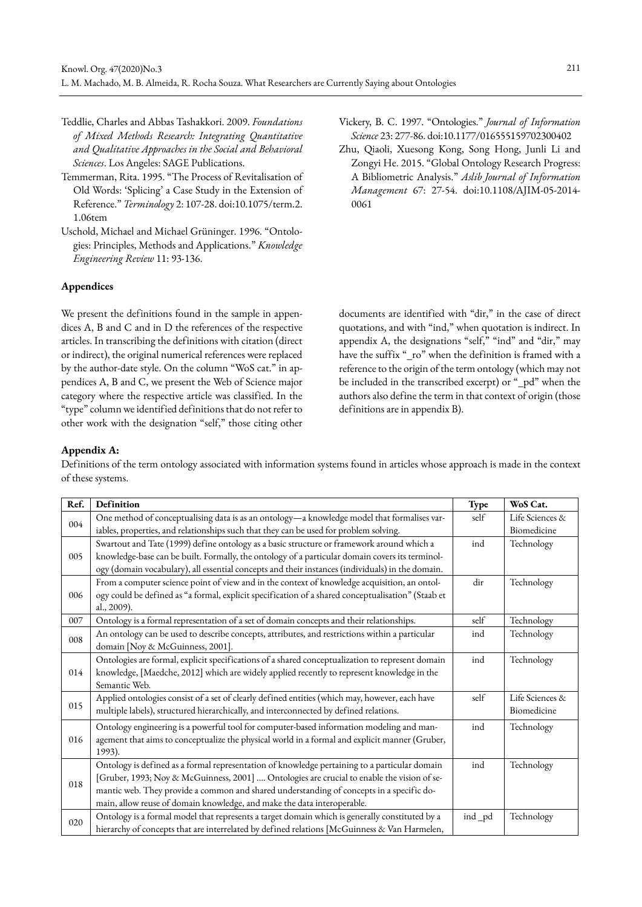- Teddlie, Charles and Abbas Tashakkori. 2009. *Foundations of Mixed Methods Research: Integrating Quantitative and Qualitative Approaches in the Social and Behavioral Sciences*. Los Angeles: SAGE Publications.
- Temmerman, Rita. 1995. "The Process of Revitalisation of Old Words: 'Splicing' a Case Study in the Extension of Reference." *Terminology* 2: 107-28. doi:10.1075/term.2. 1.06tem
- Uschold, Michael and Michael Grüninger. 1996. "Ontologies: Principles, Methods and Applications." *Knowledge Engineering Review* 11: 93-136.

# **Appendices**

We present the definitions found in the sample in appendices A, B and C and in D the references of the respective articles. In transcribing the definitions with citation (direct or indirect), the original numerical references were replaced by the author-date style. On the column "WoS cat." in appendices A, B and C, we present the Web of Science major category where the respective article was classified. In the "type" column we identified definitions that do not refer to other work with the designation "self," those citing other

- Vickery, B. C. 1997. "Ontologies." *Journal of Information Science* 23: 277-86. doi:10.1177/016555159702300402
- Zhu, Qiaoli, Xuesong Kong, Song Hong, Junli Li and Zongyi He. 2015. "Global Ontology Research Progress: A Bibliometric Analysis." *Aslib Journal of Information Management* 67: 27-54. doi:10.1108/AJIM-05-2014- 0061

documents are identified with "dir," in the case of direct quotations, and with "ind," when quotation is indirect. In appendix A, the designations "self," "ind" and "dir," may have the suffix "\_ro" when the definition is framed with a reference to the origin of the term ontology (which may not be included in the transcribed excerpt) or "\_pd" when the authors also define the term in that context of origin (those definitions are in appendix B).

# **Appendix A:**

Definitions of the term ontology associated with information systems found in articles whose approach is made in the context of these systems.

| Ref. | Definition                                                                                         | Type   | WoS Cat.        |
|------|----------------------------------------------------------------------------------------------------|--------|-----------------|
| 004  | One method of conceptualising data is as an ontology-a knowledge model that formalises var-        | self   | Life Sciences & |
|      | iables, properties, and relationships such that they can be used for problem solving.              |        | Biomedicine     |
|      | Swartout and Tate (1999) define ontology as a basic structure or framework around which a          | ind    | Technology      |
| 005  | knowledge-base can be built. Formally, the ontology of a particular domain covers its terminol-    |        |                 |
|      | ogy (domain vocabulary), all essential concepts and their instances (individuals) in the domain.   |        |                 |
|      | From a computer science point of view and in the context of knowledge acquisition, an ontol-       | dir    | Technology      |
| 006  | ogy could be defined as "a formal, explicit specification of a shared conceptualisation" (Staab et |        |                 |
|      | al., 2009).                                                                                        |        |                 |
| 007  | Ontology is a formal representation of a set of domain concepts and their relationships.           | self   | Technology      |
| 008  | An ontology can be used to describe concepts, attributes, and restrictions within a particular     | ind    | Technology      |
|      | domain [Noy & McGuinness, 2001].                                                                   |        |                 |
|      | Ontologies are formal, explicit specifications of a shared conceptualization to represent domain   | ind    | Technology      |
| 014  | knowledge, [Maedche, 2012] which are widely applied recently to represent knowledge in the         |        |                 |
|      | Semantic Web.                                                                                      |        |                 |
| 015  | Applied ontologies consist of a set of clearly defined entities (which may, however, each have     | self   | Life Sciences & |
|      | multiple labels), structured hierarchically, and interconnected by defined relations.              |        | Biomedicine     |
|      | Ontology engineering is a powerful tool for computer-based information modeling and man-           | ind    | Technology      |
| 016  | agement that aims to conceptualize the physical world in a formal and explicit manner (Gruber,     |        |                 |
|      | 1993).                                                                                             |        |                 |
|      | Ontology is defined as a formal representation of knowledge pertaining to a particular domain      | ind    | Technology      |
| 018  | [Gruber, 1993; Noy & McGuinness, 2001]  Ontologies are crucial to enable the vision of se-         |        |                 |
|      | mantic web. They provide a common and shared understanding of concepts in a specific do-           |        |                 |
|      | main, allow reuse of domain knowledge, and make the data interoperable.                            |        |                 |
| 020  | Ontology is a formal model that represents a target domain which is generally constituted by a     | ind_pd | Technology      |
|      | hierarchy of concepts that are interrelated by defined relations [McGuinness & Van Harmelen,       |        |                 |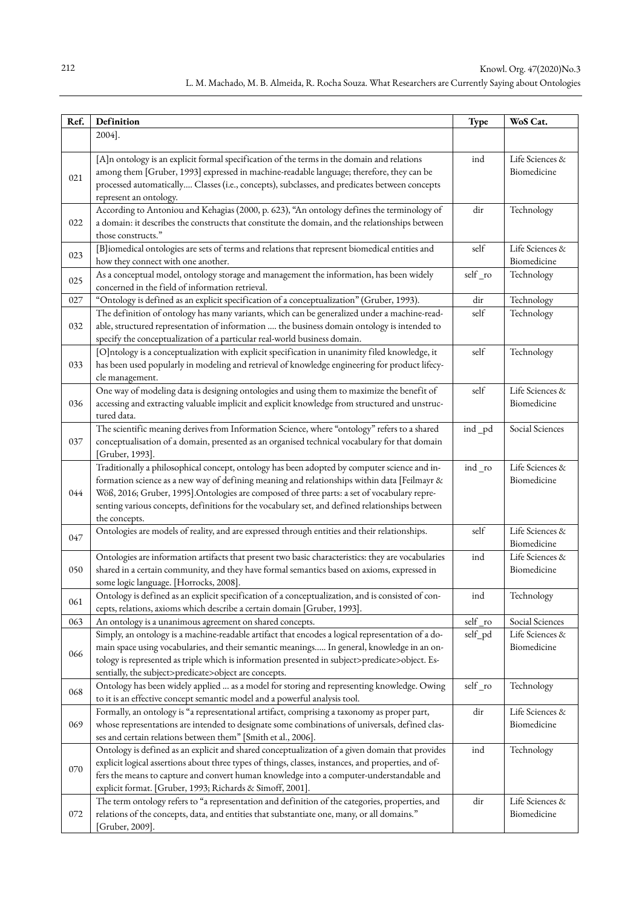| Ref. | Definition                                                                                                                                                                                                                                                                                                                                                                                                      | Type    | WoS Cat.                       |
|------|-----------------------------------------------------------------------------------------------------------------------------------------------------------------------------------------------------------------------------------------------------------------------------------------------------------------------------------------------------------------------------------------------------------------|---------|--------------------------------|
|      | 2004].                                                                                                                                                                                                                                                                                                                                                                                                          |         |                                |
| 021  | [A]n ontology is an explicit formal specification of the terms in the domain and relations<br>among them [Gruber, 1993] expressed in machine-readable language; therefore, they can be<br>processed automatically Classes (i.e., concepts), subclasses, and predicates between concepts<br>represent an ontology.                                                                                               | ind     | Life Sciences &<br>Biomedicine |
| 022  | According to Antoniou and Kehagias (2000, p. 623), "An ontology defines the terminology of<br>a domain: it describes the constructs that constitute the domain, and the relationships between<br>those constructs."                                                                                                                                                                                             | dir     | Technology                     |
| 023  | [B]iomedical ontologies are sets of terms and relations that represent biomedical entities and<br>how they connect with one another.                                                                                                                                                                                                                                                                            | self    | Life Sciences &<br>Biomedicine |
| 025  | As a conceptual model, ontology storage and management the information, has been widely<br>concerned in the field of information retrieval.                                                                                                                                                                                                                                                                     | self_ro | Technology                     |
| 027  | "Ontology is defined as an explicit specification of a conceptualization" (Gruber, 1993).                                                                                                                                                                                                                                                                                                                       | dir     | Technology                     |
| 032  | The definition of ontology has many variants, which can be generalized under a machine-read-<br>able, structured representation of information  the business domain ontology is intended to<br>specify the conceptualization of a particular real-world business domain.                                                                                                                                        | self    | Technology                     |
| 033  | [O]ntology is a conceptualization with explicit specification in unanimity filed knowledge, it<br>has been used popularly in modeling and retrieval of knowledge engineering for product lifecy-<br>cle management.                                                                                                                                                                                             | self    | Technology                     |
| 036  | One way of modeling data is designing ontologies and using them to maximize the benefit of<br>accessing and extracting valuable implicit and explicit knowledge from structured and unstruc-<br>tured data.                                                                                                                                                                                                     | self    | Life Sciences &<br>Biomedicine |
| 037  | The scientific meaning derives from Information Science, where "ontology" refers to a shared<br>conceptualisation of a domain, presented as an organised technical vocabulary for that domain<br>[Gruber, 1993].                                                                                                                                                                                                | ind_pd  | Social Sciences                |
| 044  | Traditionally a philosophical concept, ontology has been adopted by computer science and in-<br>formation science as a new way of defining meaning and relationships within data [Feilmayr &<br>Wöß, 2016; Gruber, 1995].Ontologies are composed of three parts: a set of vocabulary repre-<br>senting various concepts, definitions for the vocabulary set, and defined relationships between<br>the concepts. | ind_ro  | Life Sciences &<br>Biomedicine |
| 047  | Ontologies are models of reality, and are expressed through entities and their relationships.                                                                                                                                                                                                                                                                                                                   | self    | Life Sciences &<br>Biomedicine |
| 050  | Ontologies are information artifacts that present two basic characteristics: they are vocabularies<br>shared in a certain community, and they have formal semantics based on axioms, expressed in<br>some logic language. [Horrocks, 2008].                                                                                                                                                                     | ind     | Life Sciences &<br>Biomedicine |
| 061  | Ontology is defined as an explicit specification of a conceptualization, and is consisted of con-<br>cepts, relations, axioms which describe a certain domain [Gruber, 1993].                                                                                                                                                                                                                                   | ind     | Technology                     |
| 063  | An ontology is a unanimous agreement on shared concepts.                                                                                                                                                                                                                                                                                                                                                        | self_ro | Social Sciences                |
| 066  | Simply, an ontology is a machine-readable artifact that encodes a logical representation of a do-<br>main space using vocabularies, and their semantic meanings In general, knowledge in an on-<br>tology is represented as triple which is information presented in subject>predicate>object. Es-<br>sentially, the subject>predicate>object are concepts.                                                     | self_pd | Life Sciences &<br>Biomedicine |
| 068  | Ontology has been widely applied  as a model for storing and representing knowledge. Owing<br>to it is an effective concept semantic model and a powerful analysis tool.                                                                                                                                                                                                                                        | self ro | Technology                     |
| 069  | Formally, an ontology is "a representational artifact, comprising a taxonomy as proper part,<br>whose representations are intended to designate some combinations of universals, defined clas-<br>ses and certain relations between them" [Smith et al., 2006].                                                                                                                                                 | dir     | Life Sciences &<br>Biomedicine |
| 070  | Ontology is defined as an explicit and shared conceptualization of a given domain that provides<br>explicit logical assertions about three types of things, classes, instances, and properties, and of-<br>fers the means to capture and convert human knowledge into a computer-understandable and<br>explicit format. [Gruber, 1993; Richards & Simoff, 2001].                                                | ind     | Technology                     |
| 072  | The term ontology refers to "a representation and definition of the categories, properties, and<br>relations of the concepts, data, and entities that substantiate one, many, or all domains."<br>[Gruber, 2009].                                                                                                                                                                                               | dir     | Life Sciences &<br>Biomedicine |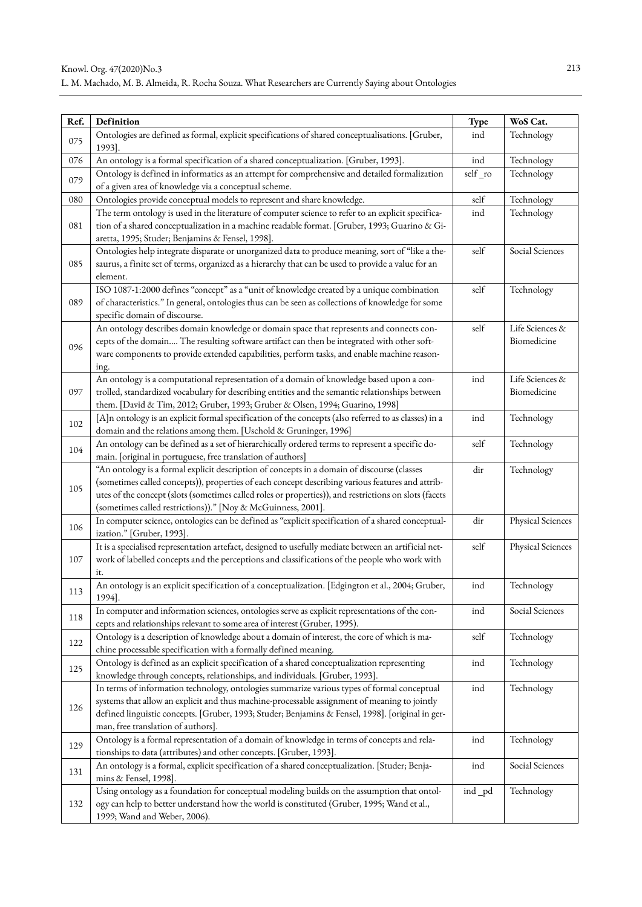| Ref. | Definition                                                                                                                                                                  | Type    | WoS Cat.          |
|------|-----------------------------------------------------------------------------------------------------------------------------------------------------------------------------|---------|-------------------|
| 075  | Ontologies are defined as formal, explicit specifications of shared conceptualisations. [Gruber,<br>1993].                                                                  | ind     | Technology        |
| 076  | An ontology is a formal specification of a shared conceptualization. [Gruber, 1993].                                                                                        | ind     | Technology        |
| 079  | Ontology is defined in informatics as an attempt for comprehensive and detailed formalization<br>of a given area of knowledge via a conceptual scheme.                      | self_ro | Technology        |
| 080  | Ontologies provide conceptual models to represent and share knowledge.                                                                                                      | self    | Technology        |
|      | The term ontology is used in the literature of computer science to refer to an explicit specifica-                                                                          | ind     | Technology        |
| 081  | tion of a shared conceptualization in a machine readable format. [Gruber, 1993; Guarino & Gi-<br>aretta, 1995; Studer; Benjamins & Fensel, 1998].                           |         |                   |
|      | Ontologies help integrate disparate or unorganized data to produce meaning, sort of "like a the-                                                                            | self    | Social Sciences   |
| 085  | saurus, a finite set of terms, organized as a hierarchy that can be used to provide a value for an<br>element.                                                              |         |                   |
|      | ISO 1087-1:2000 defines "concept" as a "unit of knowledge created by a unique combination                                                                                   | self    | Technology        |
| 089  | of characteristics." In general, ontologies thus can be seen as collections of knowledge for some<br>specific domain of discourse.                                          |         |                   |
|      | An ontology describes domain knowledge or domain space that represents and connects con-                                                                                    | self    | Life Sciences &   |
| 096  | cepts of the domain The resulting software artifact can then be integrated with other soft-                                                                                 |         | Biomedicine       |
|      | ware components to provide extended capabilities, perform tasks, and enable machine reason-                                                                                 |         |                   |
|      | ing.                                                                                                                                                                        |         |                   |
|      | An ontology is a computational representation of a domain of knowledge based upon a con-                                                                                    | ind     | Life Sciences &   |
| 097  | trolled, standardized vocabulary for describing entities and the semantic relationships between                                                                             |         | Biomedicine       |
|      | them. [David & Tim, 2012; Gruber, 1993; Gruber & Olsen, 1994; Guarino, 1998]                                                                                                |         |                   |
| 102  | [A]n ontology is an explicit formal specification of the concepts (also referred to as classes) in a                                                                        | ind     | Technology        |
|      | domain and the relations among them. [Uschold & Gruninger, 1996]                                                                                                            |         |                   |
| 104  | An ontology can be defined as a set of hierarchically ordered terms to represent a specific do-                                                                             | self    | Technology        |
|      | main. [original in portuguese, free translation of authors]                                                                                                                 |         |                   |
|      | "An ontology is a formal explicit description of concepts in a domain of discourse (classes                                                                                 | dir     | Technology        |
| 105  | (sometimes called concepts)), properties of each concept describing various features and attrib-                                                                            |         |                   |
|      | utes of the concept (slots (sometimes called roles or properties)), and restrictions on slots (facets                                                                       |         |                   |
|      | (sometimes called restrictions))." [Noy & McGuinness, 2001].                                                                                                                | dir     |                   |
| 106  | In computer science, ontologies can be defined as "explicit specification of a shared conceptual-<br>ization." [Gruber, 1993].                                              |         | Physical Sciences |
|      | It is a specialised representation artefact, designed to usefully mediate between an artificial net-                                                                        | self    | Physical Sciences |
| 107  | work of labelled concepts and the perceptions and classifications of the people who work with                                                                               |         |                   |
|      | it.                                                                                                                                                                         |         |                   |
| 113  | An ontology is an explicit specification of a conceptualization. [Edgington et al., 2004; Gruber,                                                                           | ind     | Technology        |
|      | 1994].                                                                                                                                                                      |         |                   |
| 118  | In computer and information sciences, ontologies serve as explicit representations of the con-<br>cepts and relationships relevant to some area of interest (Gruber, 1995). | ind     | Social Sciences   |
| 122  | Ontology is a description of knowledge about a domain of interest, the core of which is ma-                                                                                 | self    | Technology        |
|      | chine processable specification with a formally defined meaning.                                                                                                            |         |                   |
| 125  | Ontology is defined as an explicit specification of a shared conceptualization representing                                                                                 | ind     | Technology        |
|      | knowledge through concepts, relationships, and individuals. [Gruber, 1993].                                                                                                 |         |                   |
|      | In terms of information technology, ontologies summarize various types of formal conceptual                                                                                 | ind     | Technology        |
| 126  | systems that allow an explicit and thus machine-processable assignment of meaning to jointly                                                                                |         |                   |
|      | defined linguistic concepts. [Gruber, 1993; Studer; Benjamins & Fensel, 1998]. [original in ger-                                                                            |         |                   |
|      | man, free translation of authors].                                                                                                                                          |         |                   |
| 129  | Ontology is a formal representation of a domain of knowledge in terms of concepts and rela-                                                                                 | ind     | Technology        |
|      | tionships to data (attributes) and other concepts. [Gruber, 1993].                                                                                                          |         |                   |
| 131  | An ontology is a formal, explicit specification of a shared conceptualization. [Studer; Benja-                                                                              | ind     | Social Sciences   |
|      | mins & Fensel, 1998].                                                                                                                                                       |         |                   |
|      | Using ontology as a foundation for conceptual modeling builds on the assumption that ontol-                                                                                 | ind _pd | Technology        |
| 132  | ogy can help to better understand how the world is constituted (Gruber, 1995; Wand et al.,                                                                                  |         |                   |
|      | 1999; Wand and Weber, 2006).                                                                                                                                                |         |                   |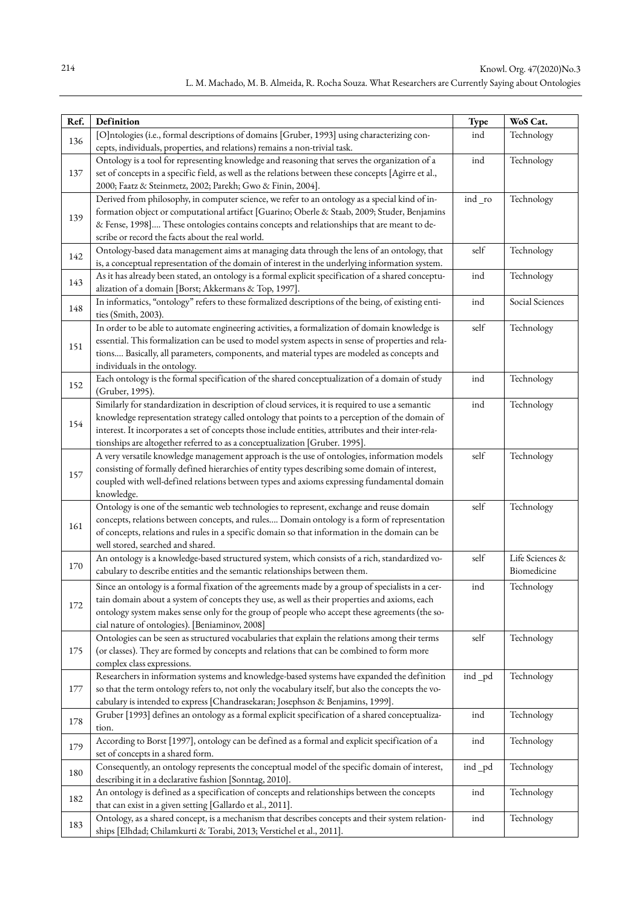| Ref. | Definition                                                                                                                                                                                        | Type   | WoS Cat.        |
|------|---------------------------------------------------------------------------------------------------------------------------------------------------------------------------------------------------|--------|-----------------|
|      | [O]ntologies (i.e., formal descriptions of domains [Gruber, 1993] using characterizing con-                                                                                                       | ind    | Technology      |
| 136  | cepts, individuals, properties, and relations) remains a non-trivial task.                                                                                                                        |        |                 |
|      | Ontology is a tool for representing knowledge and reasoning that serves the organization of a                                                                                                     | ind    | Technology      |
| 137  | set of concepts in a specific field, as well as the relations between these concepts [Agirre et al.,                                                                                              |        |                 |
|      | 2000; Faatz & Steinmetz, 2002; Parekh; Gwo & Finin, 2004].                                                                                                                                        |        |                 |
|      | Derived from philosophy, in computer science, we refer to an ontology as a special kind of in-                                                                                                    | ind_ro | Technology      |
| 139  | formation object or computational artifact [Guarino; Oberle & Staab, 2009; Studer, Benjamins                                                                                                      |        |                 |
|      | & Fense, 1998] These ontologies contains concepts and relationships that are meant to de-<br>scribe or record the facts about the real world.                                                     |        |                 |
|      | Ontology-based data management aims at managing data through the lens of an ontology, that                                                                                                        | self   | Technology      |
| 142  | is, a conceptual representation of the domain of interest in the underlying information system.                                                                                                   |        |                 |
|      | As it has already been stated, an ontology is a formal explicit specification of a shared conceptu-                                                                                               | ind    | Technology      |
| 143  | alization of a domain [Borst; Akkermans & Top, 1997].                                                                                                                                             |        |                 |
|      | In informatics, "ontology" refers to these formalized descriptions of the being, of existing enti-                                                                                                | ind    | Social Sciences |
| 148  | ties (Smith, 2003).                                                                                                                                                                               |        |                 |
|      | In order to be able to automate engineering activities, a formalization of domain knowledge is                                                                                                    | self   | Technology      |
| 151  | essential. This formalization can be used to model system aspects in sense of properties and rela-                                                                                                |        |                 |
|      | tions Basically, all parameters, components, and material types are modeled as concepts and                                                                                                       |        |                 |
|      | individuals in the ontology.                                                                                                                                                                      |        |                 |
| 152  | Each ontology is the formal specification of the shared conceptualization of a domain of study                                                                                                    | ind    | Technology      |
|      | (Gruber, 1995).                                                                                                                                                                                   |        |                 |
|      | Similarly for standardization in description of cloud services, it is required to use a semantic                                                                                                  | ind    | Technology      |
| 154  | knowledge representation strategy called ontology that points to a perception of the domain of                                                                                                    |        |                 |
|      | interest. It incorporates a set of concepts those include entities, attributes and their inter-rela-                                                                                              |        |                 |
|      | tionships are altogether referred to as a conceptualization [Gruber. 1995].                                                                                                                       | self   |                 |
|      | A very versatile knowledge management approach is the use of ontologies, information models<br>consisting of formally defined hierarchies of entity types describing some domain of interest,     |        | Technology      |
| 157  | coupled with well-defined relations between types and axioms expressing fundamental domain                                                                                                        |        |                 |
|      | knowledge.                                                                                                                                                                                        |        |                 |
|      | Ontology is one of the semantic web technologies to represent, exchange and reuse domain                                                                                                          | self   | Technology      |
|      | concepts, relations between concepts, and rules Domain ontology is a form of representation                                                                                                       |        |                 |
| 161  | of concepts, relations and rules in a specific domain so that information in the domain can be                                                                                                    |        |                 |
|      | well stored, searched and shared.                                                                                                                                                                 |        |                 |
| 170  | An ontology is a knowledge-based structured system, which consists of a rich, standardized vo-                                                                                                    | self   | Life Sciences & |
|      | cabulary to describe entities and the semantic relationships between them.                                                                                                                        |        | Biomedicine     |
|      | Since an ontology is a formal fixation of the agreements made by a group of specialists in a cer-                                                                                                 | ind    | Technology      |
| 172  | tain domain about a system of concepts they use, as well as their properties and axioms, each                                                                                                     |        |                 |
|      | ontology system makes sense only for the group of people who accept these agreements (the so-                                                                                                     |        |                 |
|      | cial nature of ontologies). [Beniaminov, 2008]                                                                                                                                                    |        |                 |
|      | Ontologies can be seen as structured vocabularies that explain the relations among their terms                                                                                                    | self   | Technology      |
| 175  | (or classes). They are formed by concepts and relations that can be combined to form more                                                                                                         |        |                 |
|      | complex class expressions.                                                                                                                                                                        |        |                 |
| 177  | Researchers in information systems and knowledge-based systems have expanded the definition<br>so that the term ontology refers to, not only the vocabulary itself, but also the concepts the vo- | ind_pd | Technology      |
|      | cabulary is intended to express [Chandrasekaran; Josephson & Benjamins, 1999].                                                                                                                    |        |                 |
|      | Gruber [1993] defines an ontology as a formal explicit specification of a shared conceptualiza-                                                                                                   | ind    | Technology      |
| 178  | tion.                                                                                                                                                                                             |        |                 |
|      | According to Borst [1997], ontology can be defined as a formal and explicit specification of a                                                                                                    | ind    | Technology      |
| 179  | set of concepts in a shared form.                                                                                                                                                                 |        |                 |
|      | Consequently, an ontology represents the conceptual model of the specific domain of interest,                                                                                                     | ind_pd | Technology      |
| 180  | describing it in a declarative fashion [Sonntag, 2010].                                                                                                                                           |        |                 |
|      | An ontology is defined as a specification of concepts and relationships between the concepts                                                                                                      | ind    | Technology      |
| 182  | that can exist in a given setting [Gallardo et al., 2011].                                                                                                                                        |        |                 |
| 183  | Ontology, as a shared concept, is a mechanism that describes concepts and their system relation-                                                                                                  | ind    | Technology      |
|      | ships [Elhdad; Chilamkurti & Torabi, 2013; Verstichel et al., 2011].                                                                                                                              |        |                 |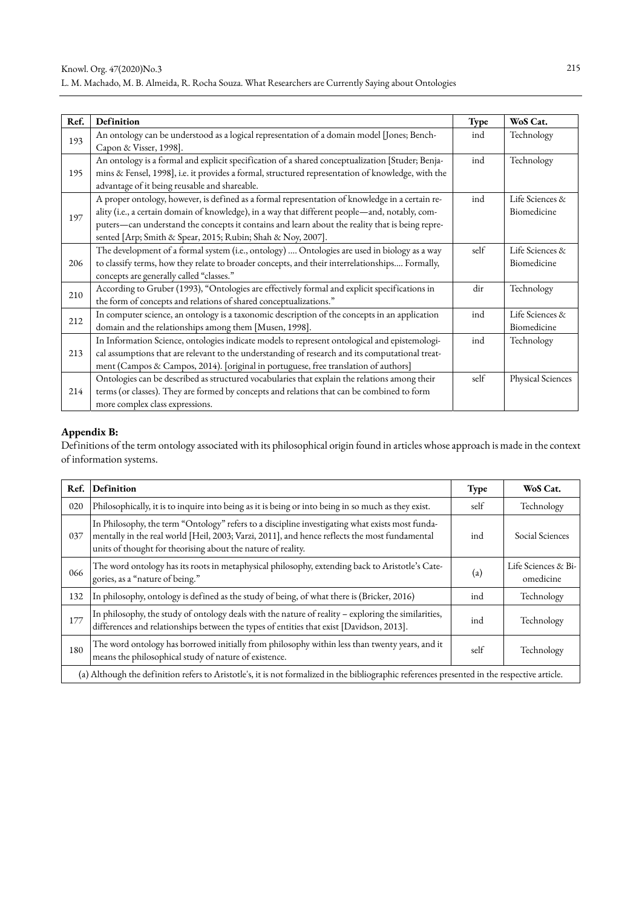| Ref. | Definition                                                                                                                                                                                                                                                                                                                                                          | <b>Type</b> | WoS Cat.                       |
|------|---------------------------------------------------------------------------------------------------------------------------------------------------------------------------------------------------------------------------------------------------------------------------------------------------------------------------------------------------------------------|-------------|--------------------------------|
| 193  | An ontology can be understood as a logical representation of a domain model [Jones; Bench-<br>Capon & Visser, 1998].                                                                                                                                                                                                                                                | ind         | Technology                     |
| 195  | An ontology is a formal and explicit specification of a shared conceptualization [Studer; Benja-<br>mins & Fensel, 1998], i.e. it provides a formal, structured representation of knowledge, with the<br>advantage of it being reusable and shareable.                                                                                                              | ind         | Technology                     |
| 197  | A proper ontology, however, is defined as a formal representation of knowledge in a certain re-<br>ality (i.e., a certain domain of knowledge), in a way that different people-and, notably, com-<br>puters-can understand the concepts it contains and learn about the reality that is being repre-<br>sented [Arp; Smith & Spear, 2015; Rubin; Shah & Noy, 2007]. | ind         | Life Sciences &<br>Biomedicine |
| 206  | The development of a formal system (i.e., ontology)  Ontologies are used in biology as a way<br>to classify terms, how they relate to broader concepts, and their interrelationships Formally,<br>concepts are generally called "classes."                                                                                                                          | self        | Life Sciences &<br>Biomedicine |
| 210  | According to Gruber (1993), "Ontologies are effectively formal and explicit specifications in<br>the form of concepts and relations of shared conceptualizations."                                                                                                                                                                                                  | dir         | Technology                     |
| 212  | In computer science, an ontology is a taxonomic description of the concepts in an application<br>domain and the relationships among them [Musen, 1998].                                                                                                                                                                                                             | ind         | Life Sciences &<br>Biomedicine |
| 213  | In Information Science, ontologies indicate models to represent ontological and epistemologi-<br>cal assumptions that are relevant to the understanding of research and its computational treat-<br>ment (Campos & Campos, 2014). [original in portuguese, free translation of authors]                                                                             | ind         | Technology                     |
| 214  | Ontologies can be described as structured vocabularies that explain the relations among their<br>terms (or classes). They are formed by concepts and relations that can be combined to form<br>more complex class expressions.                                                                                                                                      | self        | Physical Sciences              |

# **Appendix B:**

Definitions of the term ontology associated with its philosophical origin found in articles whose approach is made in the context of information systems.

| Ref.                                                                                                                                         | Definition                                                                                                                                                                                                                                                       | Type                       | WoS Cat.                         |
|----------------------------------------------------------------------------------------------------------------------------------------------|------------------------------------------------------------------------------------------------------------------------------------------------------------------------------------------------------------------------------------------------------------------|----------------------------|----------------------------------|
| 020                                                                                                                                          | Philosophically, it is to inquire into being as it is being or into being in so much as they exist.                                                                                                                                                              | self                       | Technology                       |
| 037                                                                                                                                          | In Philosophy, the term "Ontology" refers to a discipline investigating what exists most funda-<br>mentally in the real world [Heil, 2003; Varzi, 2011], and hence reflects the most fundamental<br>units of thought for theorising about the nature of reality. | ind                        | Social Sciences                  |
| 066                                                                                                                                          | The word ontology has its roots in metaphysical philosophy, extending back to Aristotle's Cate-<br>gories, as a "nature of being."                                                                                                                               | $\left( \mathrm{a}\right)$ | Life Sciences & Bi-<br>omedicine |
| 132                                                                                                                                          | In philosophy, ontology is defined as the study of being, of what there is (Bricker, 2016)                                                                                                                                                                       | ind                        | Technology                       |
| 177                                                                                                                                          | In philosophy, the study of ontology deals with the nature of reality – exploring the similarities, differences and relationships between the types of entities that exist [Davidson, 2013].                                                                     | ind                        | Technology                       |
| 180                                                                                                                                          | The word ontology has borrowed initially from philosophy within less than twenty years, and it<br>means the philosophical study of nature of existence.                                                                                                          | self                       | Technology                       |
| (a) Although the definition refers to Aristotle's, it is not formalized in the bibliographic references presented in the respective article. |                                                                                                                                                                                                                                                                  |                            |                                  |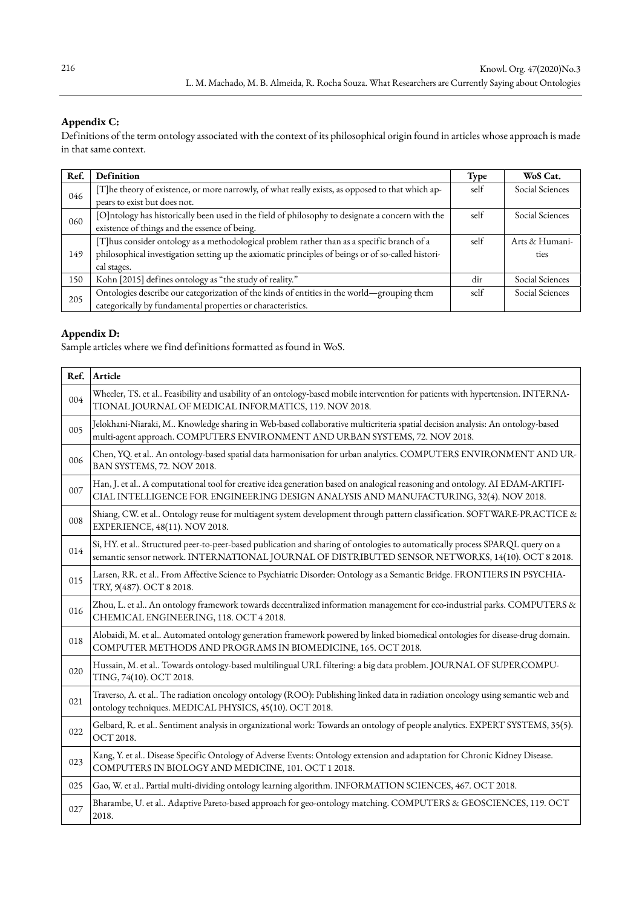# **Appendix C:**

Definitions of the term ontology associated with the context of its philosophical origin found in articles whose approach is made in that same context.

| Ref. | Definition                                                                                         | Type | WoS Cat.        |
|------|----------------------------------------------------------------------------------------------------|------|-----------------|
| 046  | [T]he theory of existence, or more narrowly, of what really exists, as opposed to that which ap-   | self | Social Sciences |
|      | pears to exist but does not.                                                                       |      |                 |
| 060  | [O]ntology has historically been used in the field of philosophy to designate a concern with the   | self | Social Sciences |
|      | existence of things and the essence of being.                                                      |      |                 |
|      | [T]hus consider ontology as a methodological problem rather than as a specific branch of a         | self | Arts & Humani-  |
| 149  | philosophical investigation setting up the axiomatic principles of beings or of so-called histori- |      | ties            |
|      | cal stages.                                                                                        |      |                 |
| 150  | Kohn [2015] defines ontology as "the study of reality."                                            | dir  | Social Sciences |
| 205  | Ontologies describe our categorization of the kinds of entities in the world-grouping them         | self | Social Sciences |
|      | categorically by fundamental properties or characteristics.                                        |      |                 |

# **Appendix D:**

Sample articles where we find definitions formatted as found in WoS.

| Ref. | Article                                                                                                                                                                                                                            |
|------|------------------------------------------------------------------------------------------------------------------------------------------------------------------------------------------------------------------------------------|
| 004  | Wheeler, TS. et al Feasibility and usability of an ontology-based mobile intervention for patients with hypertension. INTERNA-<br>TIONAL JOURNAL OF MEDICAL INFORMATICS, 119. NOV 2018.                                            |
| 005  | Jelokhani-Niaraki, M Knowledge sharing in Web-based collaborative multicriteria spatial decision analysis: An ontology-based<br>multi-agent approach. COMPUTERS ENVIRONMENT AND URBAN SYSTEMS, 72. NOV 2018.                       |
| 006  | Chen, YQ. et al An ontology-based spatial data harmonisation for urban analytics. COMPUTERS ENVIRONMENT AND UR-<br>BAN SYSTEMS, 72. NOV 2018.                                                                                      |
| 007  | Han, J. et al A computational tool for creative idea generation based on analogical reasoning and ontology. AI EDAM-ARTIFI-<br>CIAL INTELLIGENCE FOR ENGINEERING DESIGN ANALYSIS AND MANUFACTURING, 32(4). NOV 2018.               |
| 008  | Shiang, CW. et al Ontology reuse for multiagent system development through pattern classification. SOFTWARE-PRACTICE &<br>EXPERIENCE, 48(11). NOV 2018.                                                                            |
| 014  | Si, HY. et al Structured peer-to-peer-based publication and sharing of ontologies to automatically process SPARQL query on a<br>semantic sensor network. INTERNATIONAL JOURNAL OF DISTRIBUTED SENSOR NETWORKS, 14(10). OCT 8 2018. |
| 015  | Larsen, RR. et al From Affective Science to Psychiatric Disorder: Ontology as a Semantic Bridge. FRONTIERS IN PSYCHIA-<br>TRY, 9(487). OCT 8 2018.                                                                                 |
| 016  | Zhou, L. et al An ontology framework towards decentralized information management for eco-industrial parks. COMPUTERS &<br>CHEMICAL ENGINEERING, 118. OCT 4 2018.                                                                  |
| 018  | Alobaidi, M. et al Automated ontology generation framework powered by linked biomedical ontologies for disease-drug domain.<br>COMPUTER METHODS AND PROGRAMS IN BIOMEDICINE, 165. OCT 2018.                                        |
| 020  | Hussain, M. et al Towards ontology-based multilingual URL filtering: a big data problem. JOURNAL OF SUPERCOMPU-<br>TING, 74(10). OCT 2018.                                                                                         |
| 021  | Traverso, A. et al The radiation oncology ontology (ROO): Publishing linked data in radiation oncology using semantic web and<br>ontology techniques. MEDICAL PHYSICS, 45(10). OCT 2018.                                           |
| 022  | Gelbard, R. et al Sentiment analysis in organizational work: Towards an ontology of people analytics. EXPERT SYSTEMS, 35(5).<br>OCT 2018.                                                                                          |
| 023  | Kang, Y. et al Disease Specific Ontology of Adverse Events: Ontology extension and adaptation for Chronic Kidney Disease.<br>COMPUTERS IN BIOLOGY AND MEDICINE, 101. OCT 1 2018.                                                   |
| 025  | Gao, W. et al Partial multi-dividing ontology learning algorithm. INFORMATION SCIENCES, 467. OCT 2018.                                                                                                                             |
| 027  | Bharambe, U. et al Adaptive Pareto-based approach for geo-ontology matching. COMPUTERS & GEOSCIENCES, 119. OCT<br>2018.                                                                                                            |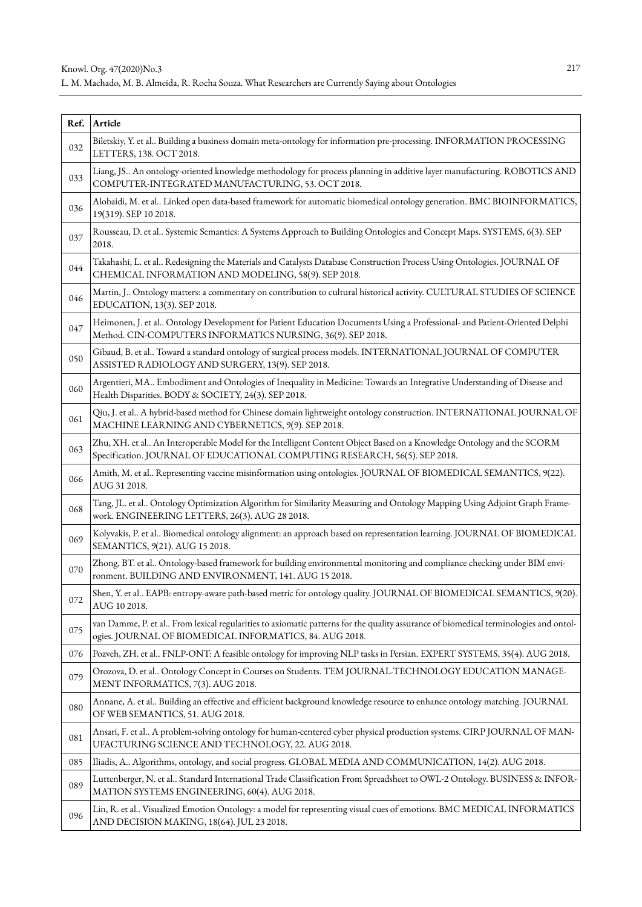| Ref. | Article                                                                                                                                                                                            |
|------|----------------------------------------------------------------------------------------------------------------------------------------------------------------------------------------------------|
| 032  | Biletskiy, Y. et al Building a business domain meta-ontology for information pre-processing. INFORMATION PROCESSING<br>LETTERS, 138. OCT 2018.                                                     |
| 033  | Liang, JS An ontology-oriented knowledge methodology for process planning in additive layer manufacturing. ROBOTICS AND<br>COMPUTER-INTEGRATED MANUFACTURING, 53. OCT 2018.                        |
| 036  | Alobaidi, M. et al Linked open data-based framework for automatic biomedical ontology generation. BMC BIOINFORMATICS,<br>19(319). SEP 10 2018.                                                     |
| 037  | Rousseau, D. et al Systemic Semantics: A Systems Approach to Building Ontologies and Concept Maps. SYSTEMS, 6(3). SEP<br>2018.                                                                     |
| 044  | Takahashi, L. et al Redesigning the Materials and Catalysts Database Construction Process Using Ontologies. JOURNAL OF<br>CHEMICAL INFORMATION AND MODELING, 58(9). SEP 2018.                      |
| 046  | Martin, J Ontology matters: a commentary on contribution to cultural historical activity. CULTURAL STUDIES OF SCIENCE<br>EDUCATION, 13(3). SEP 2018.                                               |
| 047  | Heimonen, J. et al Ontology Development for Patient Education Documents Using a Professional- and Patient-Oriented Delphi<br>Method. CIN-COMPUTERS INFORMATICS NURSING, 36(9). SEP 2018.           |
| 050  | Gibaud, B. et al Toward a standard ontology of surgical process models. INTERNATIONAL JOURNAL OF COMPUTER<br>ASSISTED RADIOLOGY AND SURGERY, 13(9). SEP 2018.                                      |
| 060  | Argentieri, MA Embodiment and Ontologies of Inequality in Medicine: Towards an Integrative Understanding of Disease and<br>Health Disparities. BODY & SOCIETY, 24(3). SEP 2018.                    |
| 061  | Qiu, J. et al A hybrid-based method for Chinese domain lightweight ontology construction. INTERNATIONAL JOURNAL OF<br>MACHINE LEARNING AND CYBERNETICS, 9(9). SEP 2018.                            |
| 063  | Zhu, XH. et al An Interoperable Model for the Intelligent Content Object Based on a Knowledge Ontology and the SCORM<br>Specification. JOURNAL OF EDUCATIONAL COMPUTING RESEARCH, 56(5). SEP 2018. |
| 066  | Amith, M. et al Representing vaccine misinformation using ontologies. JOURNAL OF BIOMEDICAL SEMANTICS, 9(22).<br>AUG 31 2018.                                                                      |
| 068  | Tang, JL. et al Ontology Optimization Algorithm for Similarity Measuring and Ontology Mapping Using Adjoint Graph Frame-<br>work. ENGINEERING LETTERS, 26(3). AUG 28 2018.                         |
| 069  | Kolyvakis, P. et al Biomedical ontology alignment: an approach based on representation learning. JOURNAL OF BIOMEDICAL<br>SEMANTICS, 9(21). AUG 15 2018.                                           |
| 070  | Zhong, BT. et al Ontology-based framework for building environmental monitoring and compliance checking under BIM envi-<br>ronment. BUILDING AND ENVIRONMENT, 141. AUG 15 2018.                    |
| 072  | Shen, Y. et al EAPB: entropy-aware path-based metric for ontology quality. JOURNAL OF BIOMEDICAL SEMANTICS, 9(20).<br>AUG 10 2018.                                                                 |
| 075  | van Damme, P. et al From lexical regularities to axiomatic patterns for the quality assurance of biomedical terminologies and ontol-<br>ogies. JOURNAL OF BIOMEDICAL INFORMATICS, 84. AUG 2018.    |
| 076  | Pozveh, ZH. et al FNLP-ONT: A feasible ontology for improving NLP tasks in Persian. EXPERT SYSTEMS, 35(4). AUG 2018.                                                                               |
| 079  | Orozova, D. et al Ontology Concept in Courses on Students. TEM JOURNAL-TECHNOLOGY EDUCATION MANAGE-<br>MENT INFORMATICS, 7(3). AUG 2018.                                                           |
| 080  | Annane, A. et al Building an effective and efficient background knowledge resource to enhance ontology matching. JOURNAL<br>OF WEB SEMANTICS, 51. AUG 2018.                                        |
| 081  | Ansari, F. et al A problem-solving ontology for human-centered cyber physical production systems. CIRP JOURNAL OF MAN-<br>UFACTURING SCIENCE AND TECHNOLOGY, 22. AUG 2018.                         |
| 085  | Iliadis, A Algorithms, ontology, and social progress. GLOBAL MEDIA AND COMMUNICATION, 14(2). AUG 2018.                                                                                             |
| 089  | Luttenberger, N. et al Standard International Trade Classification From Spreadsheet to OWL-2 Ontology. BUSINESS & INFOR-<br>MATION SYSTEMS ENGINEERING, 60(4). AUG 2018.                           |
| 096  | Lin, R. et al Visualized Emotion Ontology: a model for representing visual cues of emotions. BMC MEDICAL INFORMATICS<br>AND DECISION MAKING, 18(64). JUL 23 2018.                                  |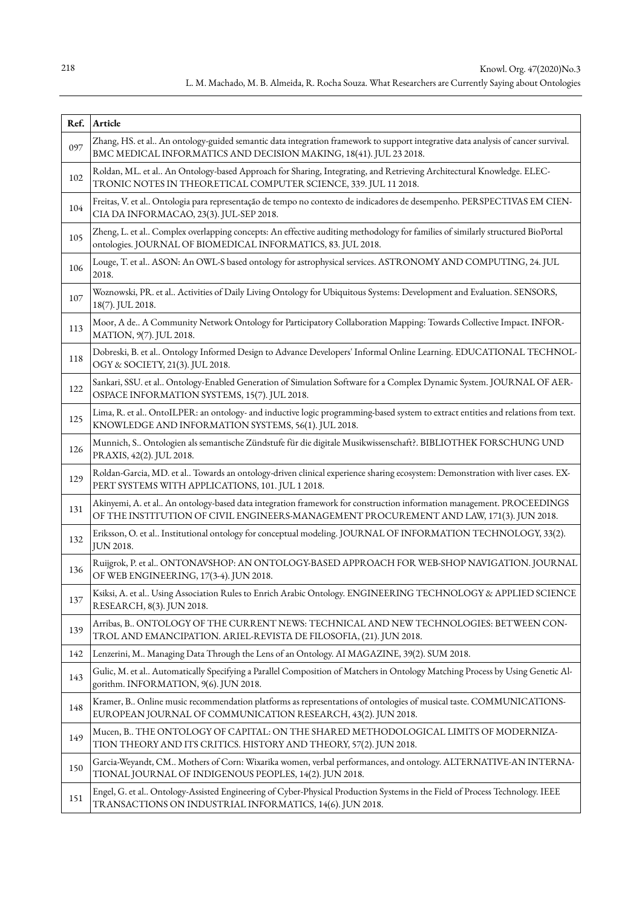|     | Ref. Article                                                                                                                                                                                                    |
|-----|-----------------------------------------------------------------------------------------------------------------------------------------------------------------------------------------------------------------|
| 097 | Zhang, HS. et al An ontology-guided semantic data integration framework to support integrative data analysis of cancer survival.<br>BMC MEDICAL INFORMATICS AND DECISION MAKING, 18(41). JUL 23 2018.           |
| 102 | Roldan, ML. et al An Ontology-based Approach for Sharing, Integrating, and Retrieving Architectural Knowledge. ELEC-<br>TRONIC NOTES IN THEORETICAL COMPUTER SCIENCE, 339. JUL 11 2018.                         |
| 104 | Freitas, V. et al Ontologia para representação de tempo no contexto de indicadores de desempenho. PERSPECTIVAS EM CIEN-<br>CIA DA INFORMACAO, 23(3). JUL-SEP 2018.                                              |
| 105 | Zheng, L. et al Complex overlapping concepts: An effective auditing methodology for families of similarly structured BioPortal<br>ontologies. JOURNAL OF BIOMEDICAL INFORMATICS, 83. JUL 2018.                  |
| 106 | Louge, T. et al ASON: An OWL-S based ontology for astrophysical services. ASTRONOMY AND COMPUTING, 24. JUL<br>2018.                                                                                             |
| 107 | Woznowski, PR. et al Activities of Daily Living Ontology for Ubiquitous Systems: Development and Evaluation. SENSORS,<br>18(7). JUL 2018.                                                                       |
| 113 | Moor, A de A Community Network Ontology for Participatory Collaboration Mapping: Towards Collective Impact. INFOR-<br>MATION, 9(7). JUL 2018.                                                                   |
| 118 | Dobreski, B. et al Ontology Informed Design to Advance Developers' Informal Online Learning. EDUCATIONAL TECHNOL-<br>OGY & SOCIETY, 21(3). JUL 2018.                                                            |
| 122 | Sankari, SSU. et al Ontology-Enabled Generation of Simulation Software for a Complex Dynamic System. JOURNAL OF AER-<br>OSPACE INFORMATION SYSTEMS, 15(7). JUL 2018.                                            |
| 125 | Lima, R. et al OntoILPER: an ontology- and inductive logic programming-based system to extract entities and relations from text.<br>KNOWLEDGE AND INFORMATION SYSTEMS, 56(1). JUL 2018.                         |
| 126 | Munnich, S Ontologien als semantische Zündstufe für die digitale Musikwissenschaft?. BIBLIOTHEK FORSCHUNG UND<br>PRAXIS, 42(2). JUL 2018.                                                                       |
| 129 | Roldan-Garcia, MD. et al Towards an ontology-driven clinical experience sharing ecosystem: Demonstration with liver cases. EX-<br>PERT SYSTEMS WITH APPLICATIONS, 101. JUL 1 2018.                              |
| 131 | Akinyemi, A. et al An ontology-based data integration framework for construction information management. PROCEEDINGS<br>OF THE INSTITUTION OF CIVIL ENGINEERS-MANAGEMENT PROCUREMENT AND LAW, 171(3). JUN 2018. |
| 132 | Eriksson, O. et al Institutional ontology for conceptual modeling. JOURNAL OF INFORMATION TECHNOLOGY, 33(2).<br>JUN 2018.                                                                                       |
| 136 | Ruijgrok, P. et al ONTONAVSHOP: AN ONTOLOGY-BASED APPROACH FOR WEB-SHOP NAVIGATION. JOURNAL<br>OF WEB ENGINEERING, 17(3-4). JUN 2018.                                                                           |
| 137 | Ksiksi, A. et al Using Association Rules to Enrich Arabic Ontology. ENGINEERING TECHNOLOGY & APPLIED SCIENCE<br>RESEARCH, 8(3). JUN 2018.                                                                       |
| 139 | Arribas, B ONTOLOGY OF THE CURRENT NEWS: TECHNICAL AND NEW TECHNOLOGIES: BETWEEN CON-<br>TROL AND EMANCIPATION. ARIEL-REVISTA DE FILOSOFIA, (21). JUN 2018.                                                     |
| 142 | Lenzerini, M Managing Data Through the Lens of an Ontology. AI MAGAZINE, 39(2). SUM 2018.                                                                                                                       |
| 143 | Gulic, M. et al Automatically Specifying a Parallel Composition of Matchers in Ontology Matching Process by Using Genetic Al-<br>gorithm. INFORMATION, 9(6). JUN 2018.                                          |
| 148 | Kramer, B Online music recommendation platforms as representations of ontologies of musical taste. COMMUNICATIONS-<br>EUROPEAN JOURNAL OF COMMUNICATION RESEARCH, 43(2). JUN 2018.                              |
| 149 | Mucen, B THE ONTOLOGY OF CAPITAL: ON THE SHARED METHODOLOGICAL LIMITS OF MODERNIZA-<br>TION THEORY AND ITS CRITICS. HISTORY AND THEORY, 57(2). JUN 2018.                                                        |
| 150 | Garcia-Weyandt, CM Mothers of Corn: Wixarika women, verbal performances, and ontology. ALTERNATIVE-AN INTERNA-<br>TIONAL JOURNAL OF INDIGENOUS PEOPLES, 14(2). JUN 2018.                                        |
| 151 | Engel, G. et al Ontology-Assisted Engineering of Cyber-Physical Production Systems in the Field of Process Technology. IEEE<br>TRANSACTIONS ON INDUSTRIAL INFORMATICS, 14(6). JUN 2018.                         |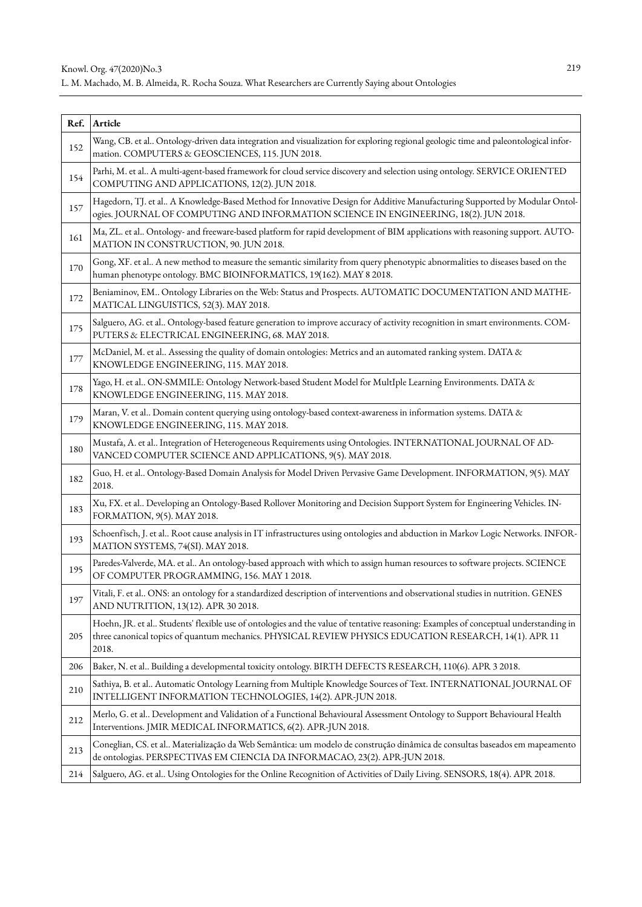| Ref. | Article                                                                                                                                                                                                                                                |
|------|--------------------------------------------------------------------------------------------------------------------------------------------------------------------------------------------------------------------------------------------------------|
| 152  | Wang, CB. et al Ontology-driven data integration and visualization for exploring regional geologic time and paleontological infor-<br>mation. COMPUTERS & GEOSCIENCES, 115. JUN 2018.                                                                  |
| 154  | Parhi, M. et al A multi-agent-based framework for cloud service discovery and selection using ontology. SERVICE ORIENTED<br>COMPUTING AND APPLICATIONS, 12(2). JUN 2018.                                                                               |
| 157  | Hagedorn, TJ. et al A Knowledge-Based Method for Innovative Design for Additive Manufacturing Supported by Modular Ontol-<br>ogies. JOURNAL OF COMPUTING AND INFORMATION SCIENCE IN ENGINEERING, 18(2). JUN 2018.                                      |
| 161  | Ma, ZL. et al Ontology- and freeware-based platform for rapid development of BIM applications with reasoning support. AUTO-<br>MATION IN CONSTRUCTION, 90. JUN 2018.                                                                                   |
| 170  | Gong, XF. et al A new method to measure the semantic similarity from query phenotypic abnormalities to diseases based on the<br>human phenotype ontology. BMC BIOINFORMATICS, 19(162). MAY 8 2018.                                                     |
| 172  | Beniaminov, EM Ontology Libraries on the Web: Status and Prospects. AUTOMATIC DOCUMENTATION AND MATHE-<br>MATICAL LINGUISTICS, 52(3). MAY 2018.                                                                                                        |
| 175  | Salguero, AG. et al Ontology-based feature generation to improve accuracy of activity recognition in smart environments. COM-<br>PUTERS & ELECTRICAL ENGINEERING, 68. MAY 2018.                                                                        |
| 177  | McDaniel, M. et al Assessing the quality of domain ontologies: Metrics and an automated ranking system. DATA &<br>KNOWLEDGE ENGINEERING, 115. MAY 2018.                                                                                                |
| 178  | Yago, H. et al ON-SMMILE: Ontology Network-based Student Model for MultIple Learning Environments. DATA &<br>KNOWLEDGE ENGINEERING, 115. MAY 2018.                                                                                                     |
| 179  | Maran, V. et al Domain content querying using ontology-based context-awareness in information systems. DATA &<br>KNOWLEDGE ENGINEERING, 115. MAY 2018.                                                                                                 |
| 180  | Mustafa, A. et al Integration of Heterogeneous Requirements using Ontologies. INTERNATIONAL JOURNAL OF AD-<br>VANCED COMPUTER SCIENCE AND APPLICATIONS, 9(5). MAY 2018.                                                                                |
| 182  | Guo, H. et al Ontology-Based Domain Analysis for Model Driven Pervasive Game Development. INFORMATION, 9(5). MAY<br>2018.                                                                                                                              |
| 183  | Xu, FX. et al Developing an Ontology-Based Rollover Monitoring and Decision Support System for Engineering Vehicles. IN-<br>FORMATION, 9(5). MAY 2018.                                                                                                 |
| 193  | Schoenfisch, J. et al Root cause analysis in IT infrastructures using ontologies and abduction in Markov Logic Networks. INFOR-<br>MATION SYSTEMS, 74(SI). MAY 2018.                                                                                   |
| 195  | Paredes-Valverde, MA. et al An ontology-based approach with which to assign human resources to software projects. SCIENCE<br>OF COMPUTER PROGRAMMING, 156. MAY 1 2018.                                                                                 |
| 197  | Vitali, F. et al ONS: an ontology for a standardized description of interventions and observational studies in nutrition. GENES<br>AND NUTRITION, 13(12). APR 30 2018.                                                                                 |
| 205  | Hoehn, JR. et al Students' flexible use of ontologies and the value of tentative reasoning: Examples of conceptual understanding in<br>three canonical topics of quantum mechanics. PHYSICAL REVIEW PHYSICS EDUCATION RESEARCH, 14(1). APR 11<br>2018. |
| 206  | Baker, N. et al Building a developmental toxicity ontology. BIRTH DEFECTS RESEARCH, 110(6). APR 3 2018.                                                                                                                                                |
| 210  | Sathiya, B. et al Automatic Ontology Learning from Multiple Knowledge Sources of Text. INTERNATIONAL JOURNAL OF<br>INTELLIGENT INFORMATION TECHNOLOGIES, 14(2). APR-JUN 2018.                                                                          |
| 212  | Merlo, G. et al Development and Validation of a Functional Behavioural Assessment Ontology to Support Behavioural Health<br>Interventions. JMIR MEDICAL INFORMATICS, 6(2). APR-JUN 2018.                                                               |
| 213  | Coneglian, CS. et al Materialização da Web Semântica: um modelo de construção dinâmica de consultas baseados em mapeamento<br>de ontologias. PERSPECTIVAS EM CIENCIA DA INFORMACAO, 23(2). APR-JUN 2018.                                               |
| 214  | Salguero, AG. et al Using Ontologies for the Online Recognition of Activities of Daily Living. SENSORS, 18(4). APR 2018.                                                                                                                               |